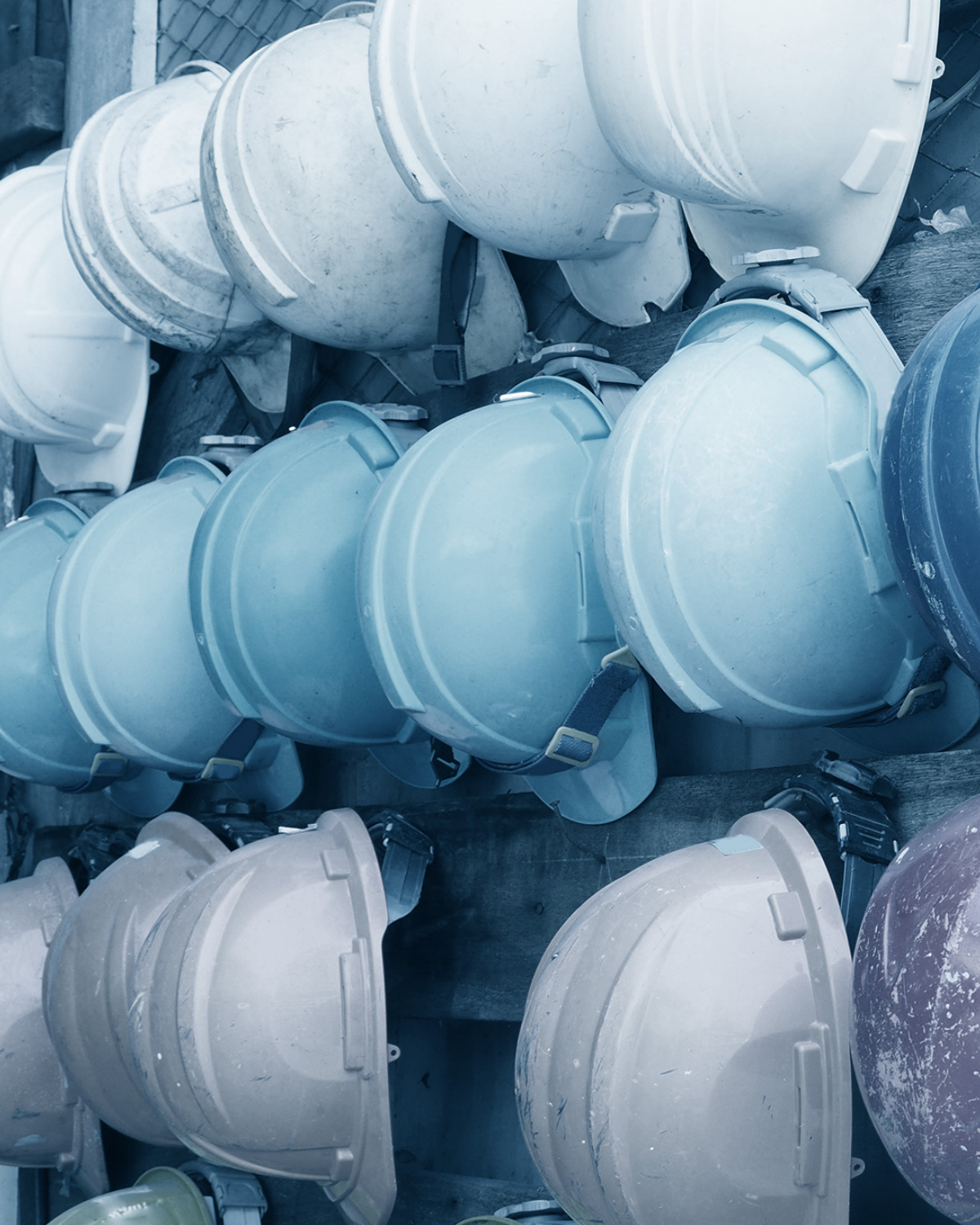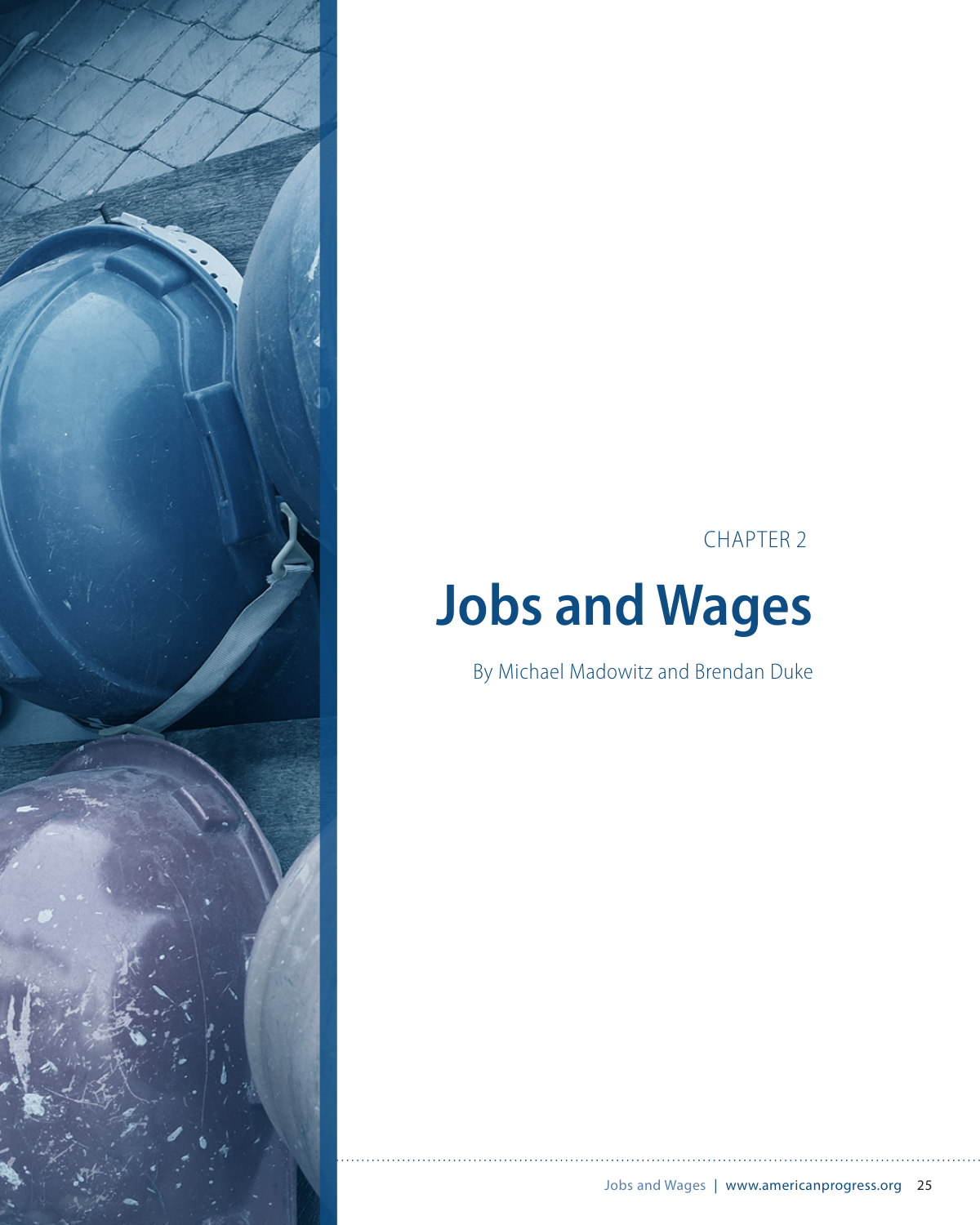## CHAPTER 2

# **Jobs and Wages**

By Michael Madowitz and Brendan Duke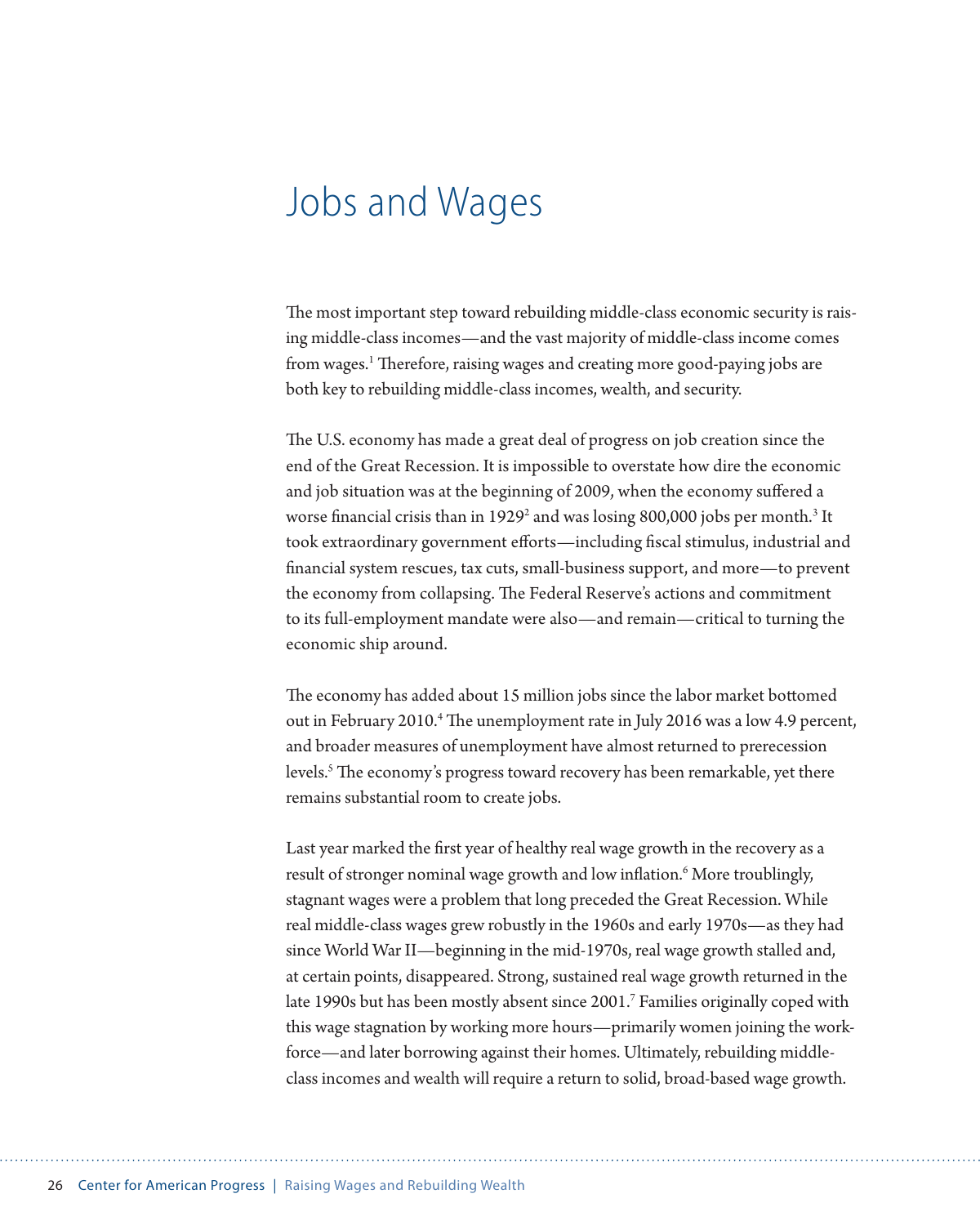## Jobs and Wages

The most important step toward rebuilding middle-class economic security is raising middle-class incomes—and the vast majority of middle-class income comes from wages.<sup>1</sup> Therefore, raising wages and creating more good-paying jobs are both key to rebuilding middle-class incomes, wealth, and security.

The U.S. economy has made a great deal of progress on job creation since the end of the Great Recession. It is impossible to overstate how dire the economic and job situation was at the beginning of 2009, when the economy suffered a worse financial crisis than in 1929 $^{\rm 2}$  and was losing 800,000 jobs per month. $^{\rm 3}$  It took extraordinary government efforts—including fiscal stimulus, industrial and financial system rescues, tax cuts, small-business support, and more—to prevent the economy from collapsing. The Federal Reserve's actions and commitment to its full-employment mandate were also—and remain—critical to turning the economic ship around.

The economy has added about 15 million jobs since the labor market bottomed out in February 2010.<sup>4</sup> The unemployment rate in July 2016 was a low 4.9 percent, and broader measures of unemployment have almost returned to prerecession levels.5 The economy's progress toward recovery has been remarkable, yet there remains substantial room to create jobs.

Last year marked the first year of healthy real wage growth in the recovery as a result of stronger nominal wage growth and low inflation.<sup>6</sup> More troublingly, stagnant wages were a problem that long preceded the Great Recession. While real middle-class wages grew robustly in the 1960s and early 1970s—as they had since World War II—beginning in the mid-1970s, real wage growth stalled and, at certain points, disappeared. Strong, sustained real wage growth returned in the late 1990s but has been mostly absent since 2001.<sup>7</sup> Families originally coped with this wage stagnation by working more hours—primarily women joining the workforce—and later borrowing against their homes. Ultimately, rebuilding middleclass incomes and wealth will require a return to solid, broad-based wage growth.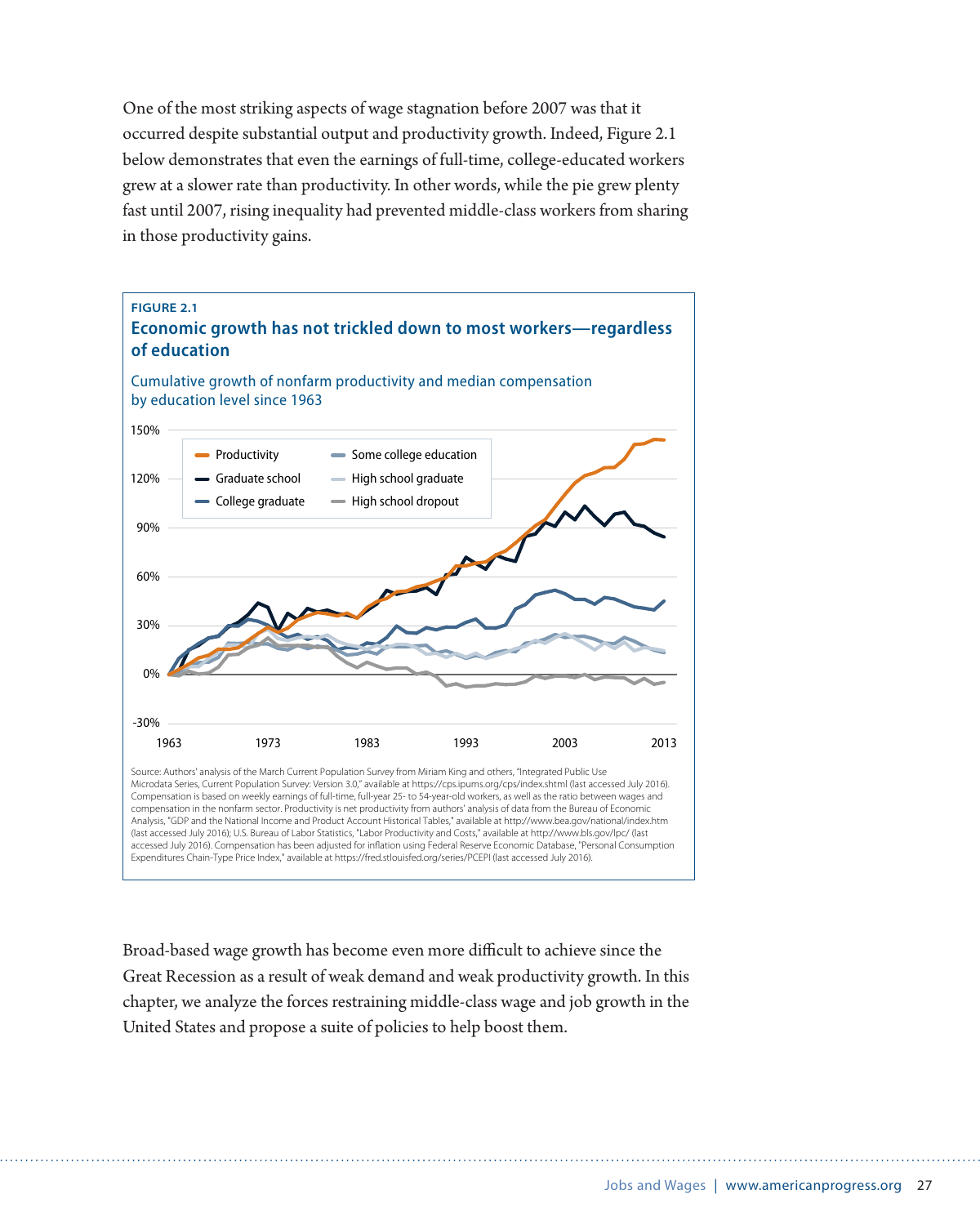One of the most striking aspects of wage stagnation before 2007 was that it occurred despite substantial output and productivity growth. Indeed, Figure 2.1 below demonstrates that even the earnings of full-time, college-educated workers grew at a slower rate than productivity. In other words, while the pie grew plenty fast until 2007, rising inequality had prevented middle-class workers from sharing in those productivity gains.



Broad-based wage growth has become even more difficult to achieve since the Great Recession as a result of weak demand and weak productivity growth. In this chapter, we analyze the forces restraining middle-class wage and job growth in the United States and propose a suite of policies to help boost them.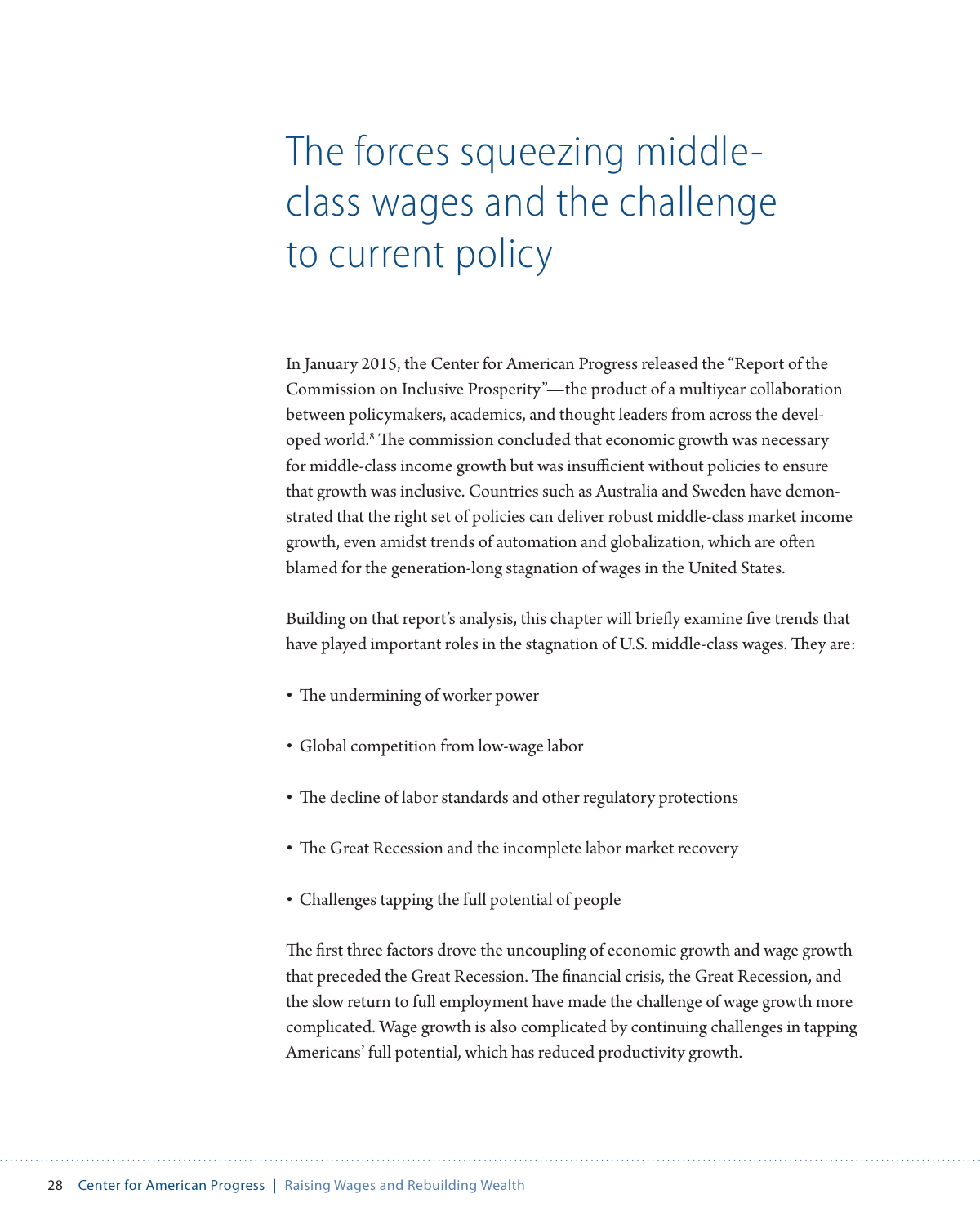## The forces squeezing middleclass wages and the challenge to current policy

In January 2015, the Center for American Progress released the "Report of the Commission on Inclusive Prosperity"—the product of a multiyear collaboration between policymakers, academics, and thought leaders from across the developed world.<sup>8</sup> The commission concluded that economic growth was necessary for middle-class income growth but was insufficient without policies to ensure that growth was inclusive. Countries such as Australia and Sweden have demonstrated that the right set of policies can deliver robust middle-class market income growth, even amidst trends of automation and globalization, which are often blamed for the generation-long stagnation of wages in the United States.

Building on that report's analysis, this chapter will briefly examine five trends that have played important roles in the stagnation of U.S. middle-class wages. They are:

- The undermining of worker power
- Global competition from low-wage labor
- The decline of labor standards and other regulatory protections
- The Great Recession and the incomplete labor market recovery
- Challenges tapping the full potential of people

The first three factors drove the uncoupling of economic growth and wage growth that preceded the Great Recession. The financial crisis, the Great Recession, and the slow return to full employment have made the challenge of wage growth more complicated. Wage growth is also complicated by continuing challenges in tapping Americans' full potential, which has reduced productivity growth.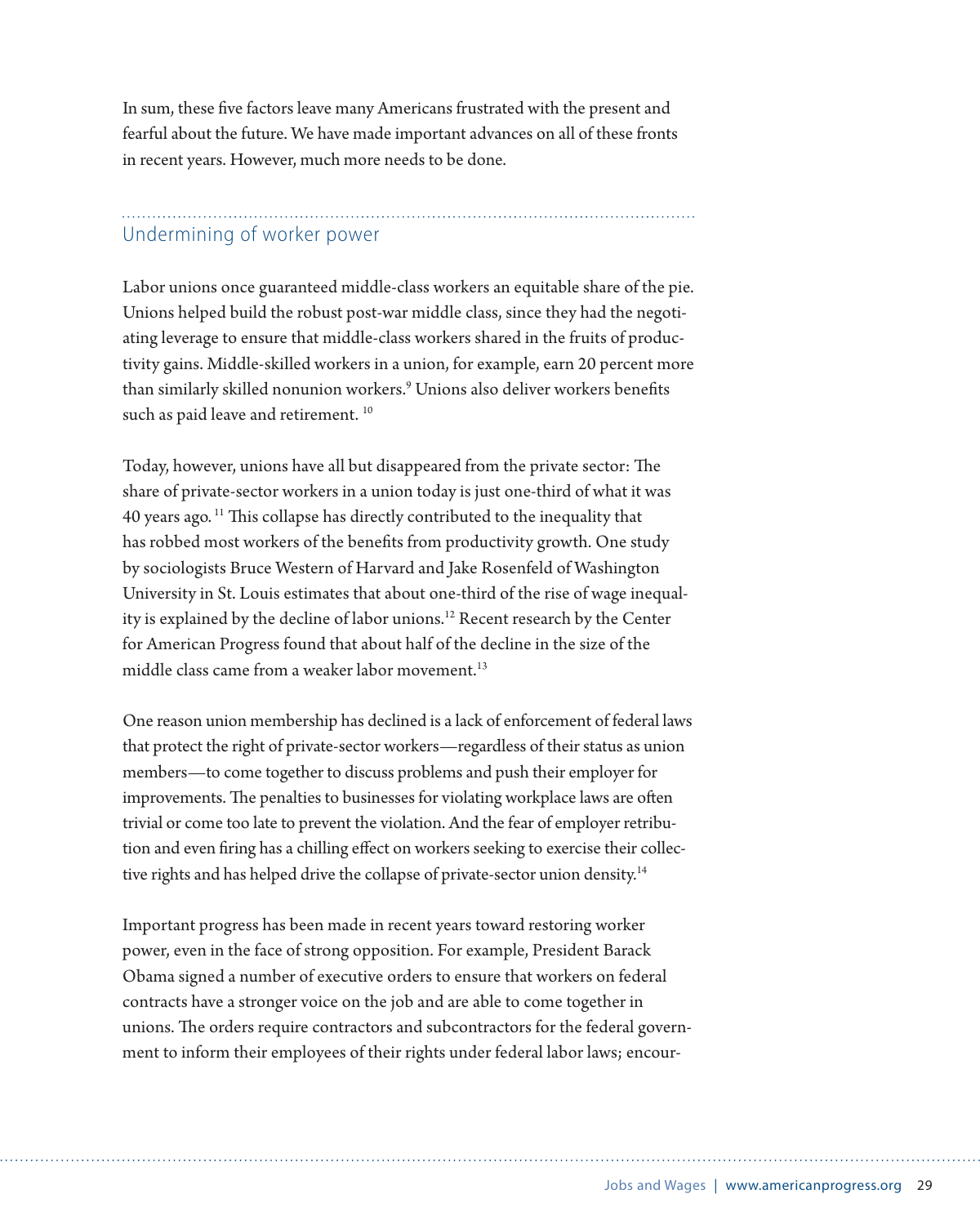In sum, these five factors leave many Americans frustrated with the present and fearful about the future. We have made important advances on all of these fronts in recent years. However, much more needs to be done.

## Undermining of worker power

Labor unions once guaranteed middle-class workers an equitable share of the pie. Unions helped build the robust post-war middle class, since they had the negotiating leverage to ensure that middle-class workers shared in the fruits of productivity gains. Middle-skilled workers in a union, for example, earn 20 percent more than similarly skilled nonunion workers.9 Unions also deliver workers benefits such as paid leave and retirement.<sup>10</sup>

Today, however, unions have all but disappeared from the private sector: The share of private-sector workers in a union today is just one-third of what it was 40 years ago. 11 This collapse has directly contributed to the inequality that has robbed most workers of the benefits from productivity growth. One study by sociologists Bruce Western of Harvard and Jake Rosenfeld of Washington University in St. Louis estimates that about one-third of the rise of wage inequality is explained by the decline of labor unions.12 Recent research by the Center for American Progress found that about half of the decline in the size of the middle class came from a weaker labor movement.<sup>13</sup>

One reason union membership has declined is a lack of enforcement of federal laws that protect the right of private-sector workers—regardless of their status as union members—to come together to discuss problems and push their employer for improvements. The penalties to businesses for violating workplace laws are often trivial or come too late to prevent the violation. And the fear of employer retribution and even firing has a chilling effect on workers seeking to exercise their collective rights and has helped drive the collapse of private-sector union density.<sup>14</sup>

Important progress has been made in recent years toward restoring worker power, even in the face of strong opposition. For example, President Barack Obama signed a number of executive orders to ensure that workers on federal contracts have a stronger voice on the job and are able to come together in unions. The orders require contractors and subcontractors for the federal government to inform their employees of their rights under federal labor laws; encour-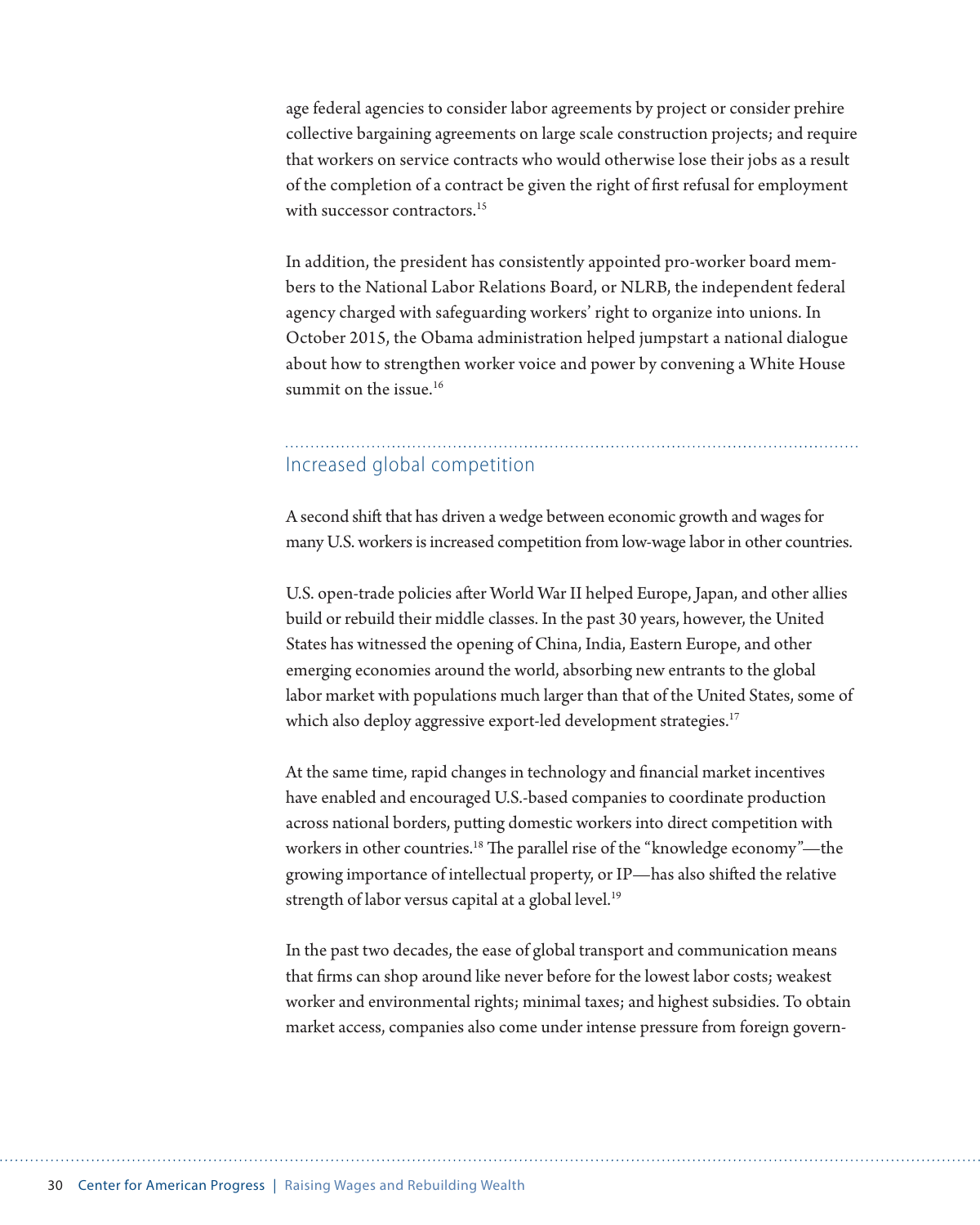age federal agencies to consider labor agreements by project or consider prehire collective bargaining agreements on large scale construction projects; and require that workers on service contracts who would otherwise lose their jobs as a result of the completion of a contract be given the right of first refusal for employment with successor contractors.<sup>15</sup>

In addition, the president has consistently appointed pro-worker board members to the National Labor Relations Board, or NLRB, the independent federal agency charged with safeguarding workers' right to organize into unions. In October 2015, the Obama administration helped jumpstart a national dialogue about how to strengthen worker voice and power by convening a White House summit on the issue  $16$ 

## Increased global competition

A second shift that has driven a wedge between economic growth and wages for many U.S. workers is increased competition from low-wage labor in other countries.

U.S. open-trade policies after World War II helped Europe, Japan, and other allies build or rebuild their middle classes. In the past 30 years, however, the United States has witnessed the opening of China, India, Eastern Europe, and other emerging economies around the world, absorbing new entrants to the global labor market with populations much larger than that of the United States, some of which also deploy aggressive export-led development strategies.<sup>17</sup>

At the same time, rapid changes in technology and financial market incentives have enabled and encouraged U.S.-based companies to coordinate production across national borders, putting domestic workers into direct competition with workers in other countries.<sup>18</sup> The parallel rise of the "knowledge economy"—the growing importance of intellectual property, or IP—has also shifted the relative strength of labor versus capital at a global level.<sup>19</sup>

In the past two decades, the ease of global transport and communication means that firms can shop around like never before for the lowest labor costs; weakest worker and environmental rights; minimal taxes; and highest subsidies. To obtain market access, companies also come under intense pressure from foreign govern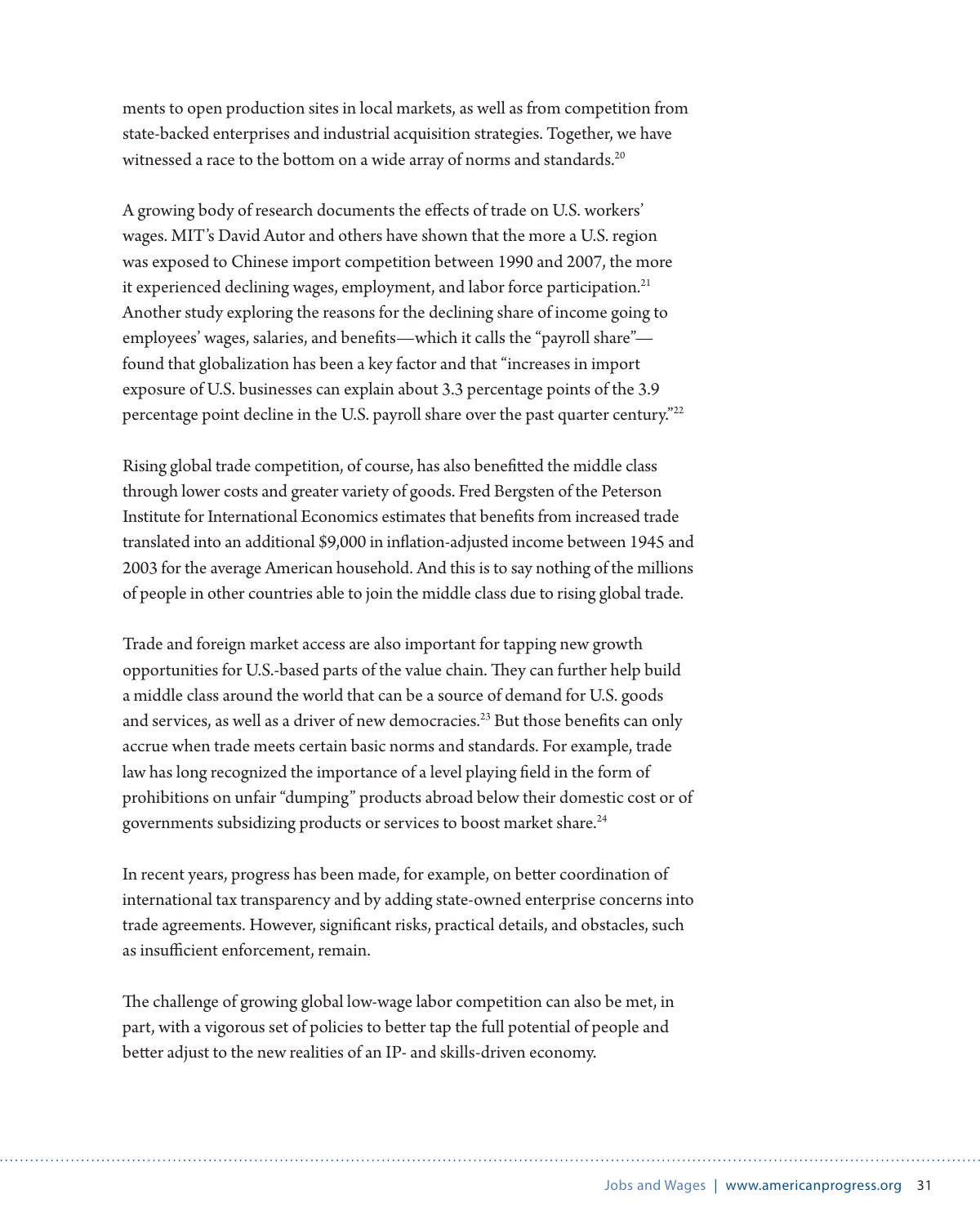ments to open production sites in local markets, as well as from competition from state-backed enterprises and industrial acquisition strategies. Together, we have witnessed a race to the bottom on a wide array of norms and standards.<sup>20</sup>

A growing body of research documents the effects of trade on U.S. workers' wages. MIT's David Autor and others have shown that the more a U.S. region was exposed to Chinese import competition between 1990 and 2007, the more it experienced declining wages, employment, and labor force participation.<sup>21</sup> Another study exploring the reasons for the declining share of income going to employees' wages, salaries, and benefits—which it calls the "payroll share" found that globalization has been a key factor and that "increases in import exposure of U.S. businesses can explain about 3.3 percentage points of the 3.9 percentage point decline in the U.S. payroll share over the past quarter century."22

Rising global trade competition, of course, has also benefitted the middle class through lower costs and greater variety of goods. Fred Bergsten of the Peterson Institute for International Economics estimates that benefits from increased trade translated into an additional \$9,000 in inflation-adjusted income between 1945 and 2003 for the average American household. And this is to say nothing of the millions of people in other countries able to join the middle class due to rising global trade.

Trade and foreign market access are also important for tapping new growth opportunities for U.S.-based parts of the value chain. They can further help build a middle class around the world that can be a source of demand for U.S. goods and services, as well as a driver of new democracies.<sup>23</sup> But those benefits can only accrue when trade meets certain basic norms and standards. For example, trade law has long recognized the importance of a level playing field in the form of prohibitions on unfair "dumping" products abroad below their domestic cost or of governments subsidizing products or services to boost market share.<sup>24</sup>

In recent years, progress has been made, for example, on better coordination of international tax transparency and by adding state-owned enterprise concerns into trade agreements. However, significant risks, practical details, and obstacles, such as insufficient enforcement, remain.

The challenge of growing global low-wage labor competition can also be met, in part, with a vigorous set of policies to better tap the full potential of people and better adjust to the new realities of an IP- and skills-driven economy.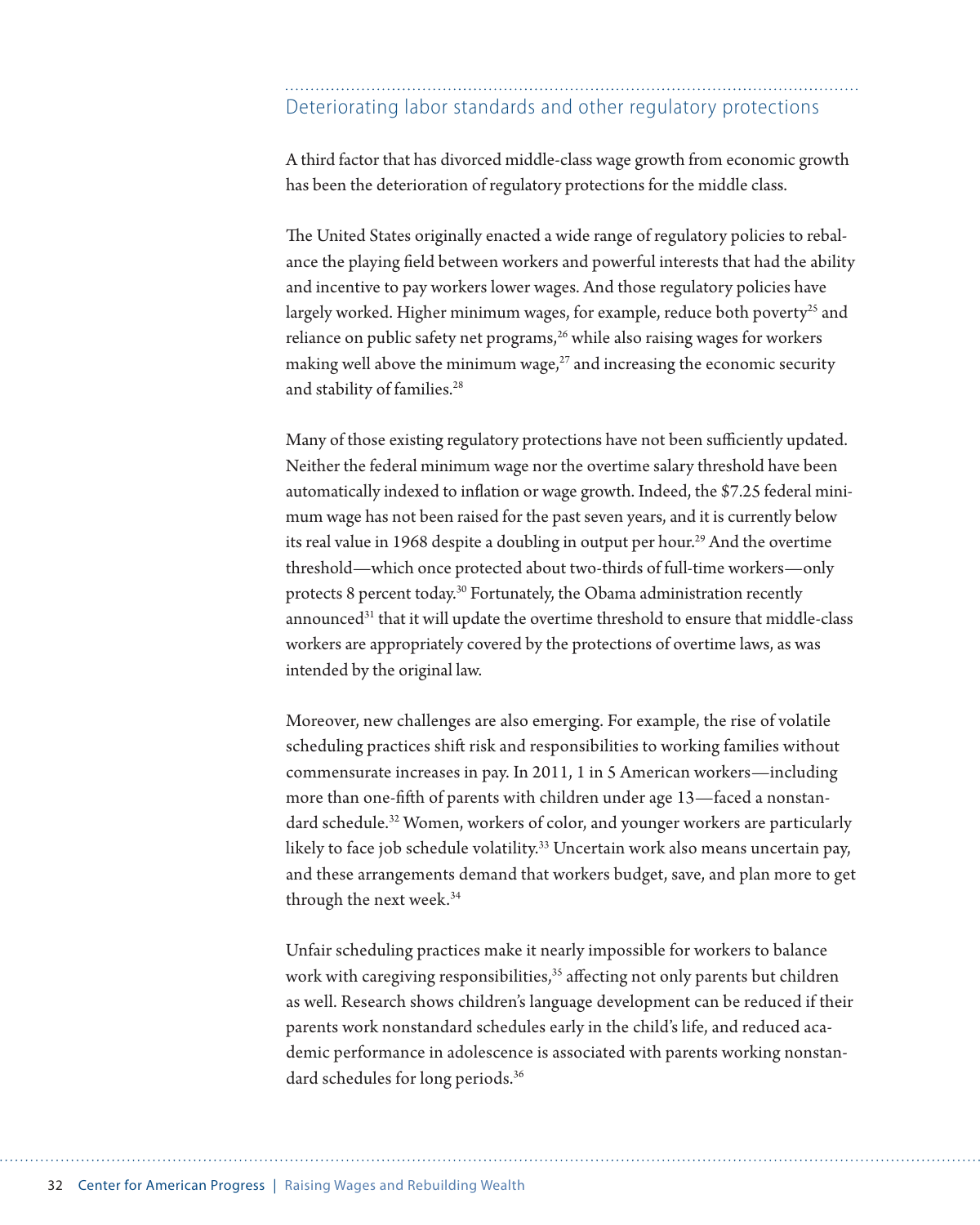## Deteriorating labor standards and other regulatory protections

A third factor that has divorced middle-class wage growth from economic growth has been the deterioration of regulatory protections for the middle class.

The United States originally enacted a wide range of regulatory policies to rebalance the playing field between workers and powerful interests that had the ability and incentive to pay workers lower wages. And those regulatory policies have largely worked. Higher minimum wages, for example, reduce both poverty<sup>25</sup> and reliance on public safety net programs,<sup>26</sup> while also raising wages for workers making well above the minimum wage, $27$  and increasing the economic security and stability of families.<sup>28</sup>

Many of those existing regulatory protections have not been sufficiently updated. Neither the federal minimum wage nor the overtime salary threshold have been automatically indexed to inflation or wage growth. Indeed, the \$7.25 federal minimum wage has not been raised for the past seven years, and it is currently below its real value in 1968 despite a doubling in output per hour.<sup>29</sup> And the overtime threshold—which once protected about two-thirds of full-time workers—only protects 8 percent today.30 Fortunately, the Obama administration recently announced $31$  that it will update the overtime threshold to ensure that middle-class workers are appropriately covered by the protections of overtime laws, as was intended by the original law.

Moreover, new challenges are also emerging. For example, the rise of volatile scheduling practices shift risk and responsibilities to working families without commensurate increases in pay. In 2011, 1 in 5 American workers—including more than one-fifth of parents with children under age 13—faced a nonstandard schedule.<sup>32</sup> Women, workers of color, and younger workers are particularly likely to face job schedule volatility.<sup>33</sup> Uncertain work also means uncertain pay, and these arrangements demand that workers budget, save, and plan more to get through the next week.<sup>34</sup>

Unfair scheduling practices make it nearly impossible for workers to balance work with caregiving responsibilities,<sup>35</sup> affecting not only parents but children as well. Research shows children's language development can be reduced if their parents work nonstandard schedules early in the child's life, and reduced academic performance in adolescence is associated with parents working nonstandard schedules for long periods.36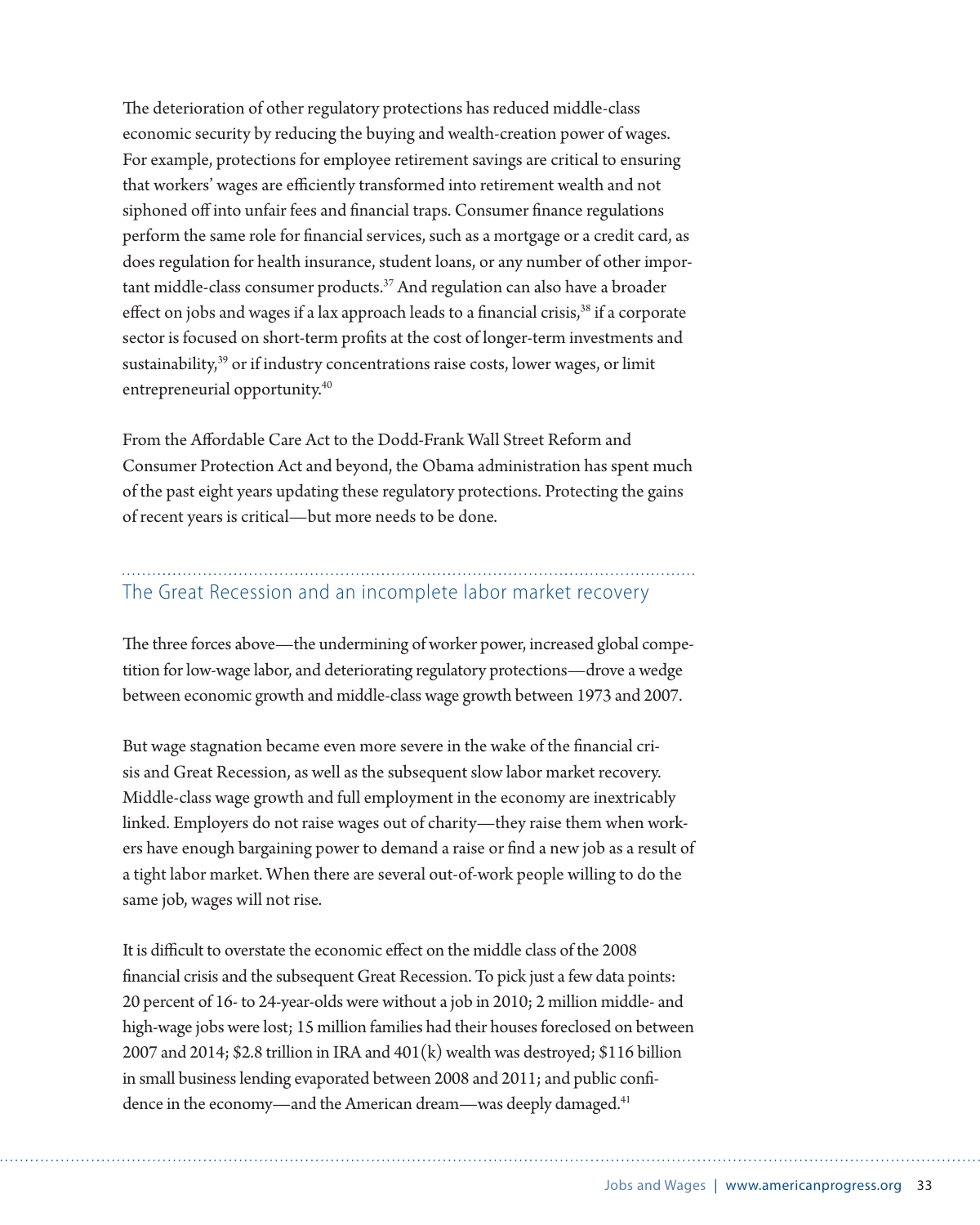The deterioration of other regulatory protections has reduced middle-class economic security by reducing the buying and wealth-creation power of wages. For example, protections for employee retirement savings are critical to ensuring that workers' wages are efficiently transformed into retirement wealth and not siphoned off into unfair fees and financial traps. Consumer finance regulations perform the same role for financial services, such as a mortgage or a credit card, as does regulation for health insurance, student loans, or any number of other important middle-class consumer products.<sup>37</sup> And regulation can also have a broader effect on jobs and wages if a lax approach leads to a financial crisis, $38$  if a corporate sector is focused on short-term profits at the cost of longer-term investments and sustainability,<sup>39</sup> or if industry concentrations raise costs, lower wages, or limit entrepreneurial opportunity.<sup>40</sup>

From the Affordable Care Act to the Dodd-Frank Wall Street Reform and Consumer Protection Act and beyond, the Obama administration has spent much of the past eight years updating these regulatory protections. Protecting the gains of recent years is critical—but more needs to be done.

## The Great Recession and an incomplete labor market recovery

The three forces above—the undermining of worker power, increased global competition for low-wage labor, and deteriorating regulatory protections—drove a wedge between economic growth and middle-class wage growth between 1973 and 2007.

But wage stagnation became even more severe in the wake of the financial crisis and Great Recession, as well as the subsequent slow labor market recovery. Middle-class wage growth and full employment in the economy are inextricably linked. Employers do not raise wages out of charity—they raise them when workers have enough bargaining power to demand a raise or find a new job as a result of a tight labor market. When there are several out-of-work people willing to do the same job, wages will not rise.

It is difficult to overstate the economic effect on the middle class of the 2008 financial crisis and the subsequent Great Recession. To pick just a few data points: 20 percent of 16- to 24-year-olds were without a job in 2010; 2 million middle- and high-wage jobs were lost; 15 million families had their houses foreclosed on between 2007 and 2014; \$2.8 trillion in IRA and 401(k) wealth was destroyed; \$116 billion in small business lending evaporated between 2008 and 2011; and public confidence in the economy—and the American dream—was deeply damaged.<sup>41</sup>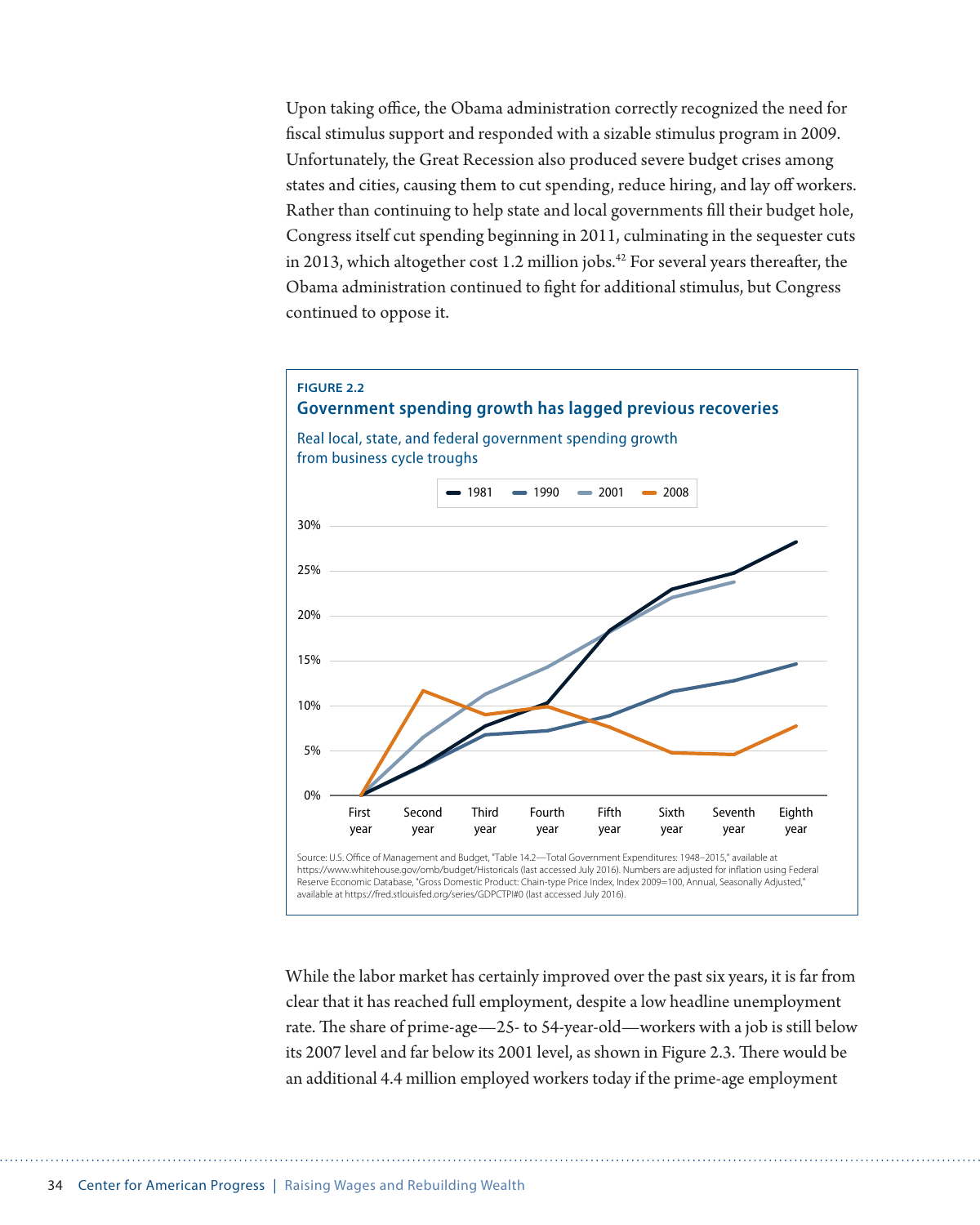Upon taking office, the Obama administration correctly recognized the need for fiscal stimulus support and responded with a sizable stimulus program in 2009. Unfortunately, the Great Recession also produced severe budget crises among states and cities, causing them to cut spending, reduce hiring, and lay off workers. Rather than continuing to help state and local governments fill their budget hole, Congress itself cut spending beginning in 2011, culminating in the sequester cuts in 2013, which altogether cost 1.2 million jobs.<sup>42</sup> For several years thereafter, the Obama administration continued to fight for additional stimulus, but Congress continued to oppose it.



While the labor market has certainly improved over the past six years, it is far from clear that it has reached full employment, despite a low headline unemployment rate. The share of prime-age—25- to 54-year-old—workers with a job is still below its 2007 level and far below its 2001 level, as shown in Figure 2.3. There would be an additional 4.4 million employed workers today if the prime-age employment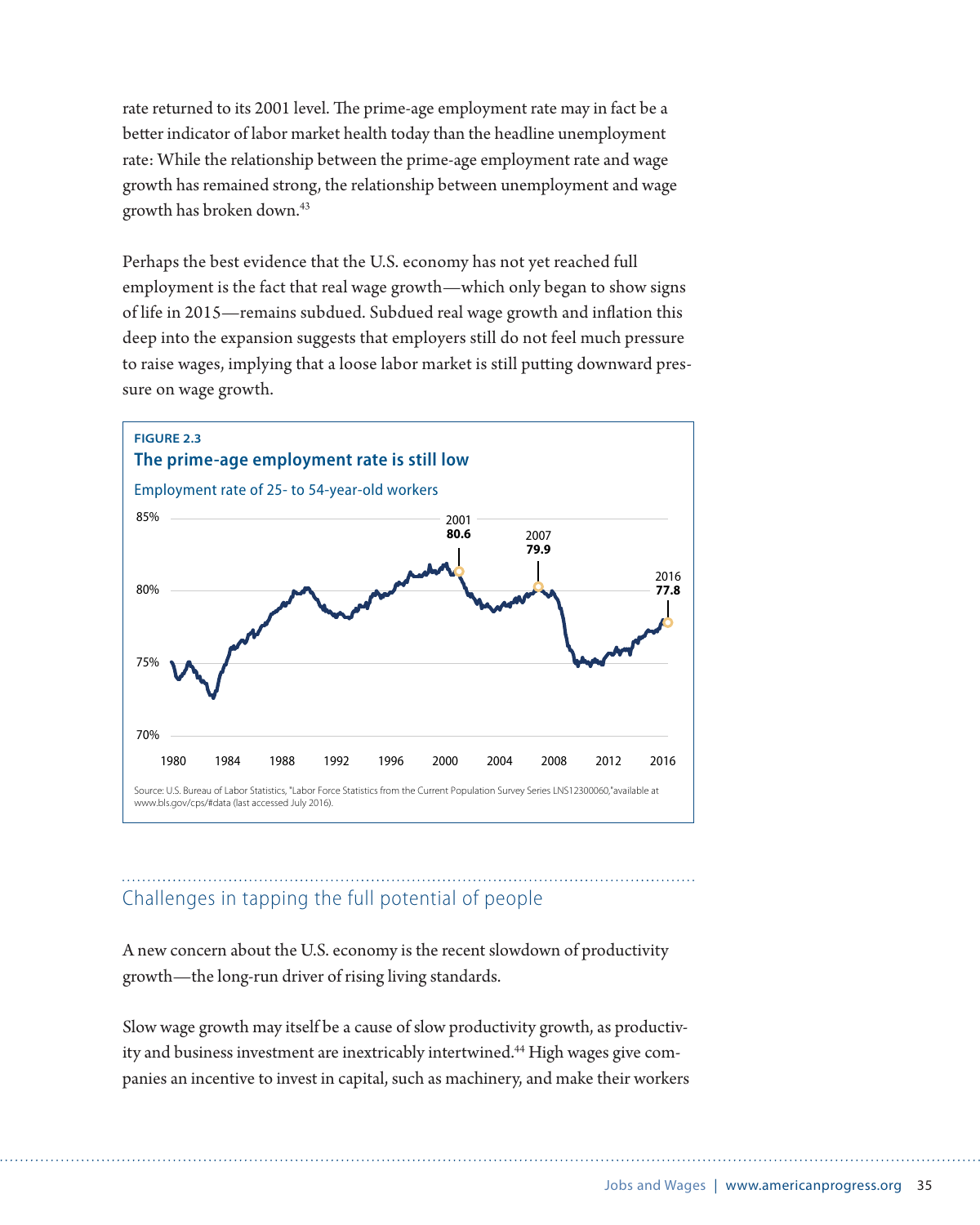rate returned to its 2001 level. The prime-age employment rate may in fact be a better indicator of labor market health today than the headline unemployment rate: While the relationship between the prime-age employment rate and wage growth has remained strong, the relationship between unemployment and wage growth has broken down.43

Perhaps the best evidence that the U.S. economy has not yet reached full employment is the fact that real wage growth—which only began to show signs of life in 2015—remains subdued. Subdued real wage growth and inflation this deep into the expansion suggests that employers still do not feel much pressure to raise wages, implying that a loose labor market is still putting downward pressure on wage growth.



## Challenges in tapping the full potential of people

A new concern about the U.S. economy is the recent slowdown of productivity growth—the long-run driver of rising living standards.

Slow wage growth may itself be a cause of slow productivity growth, as productivity and business investment are inextricably intertwined.<sup>44</sup> High wages give companies an incentive to invest in capital, such as machinery, and make their workers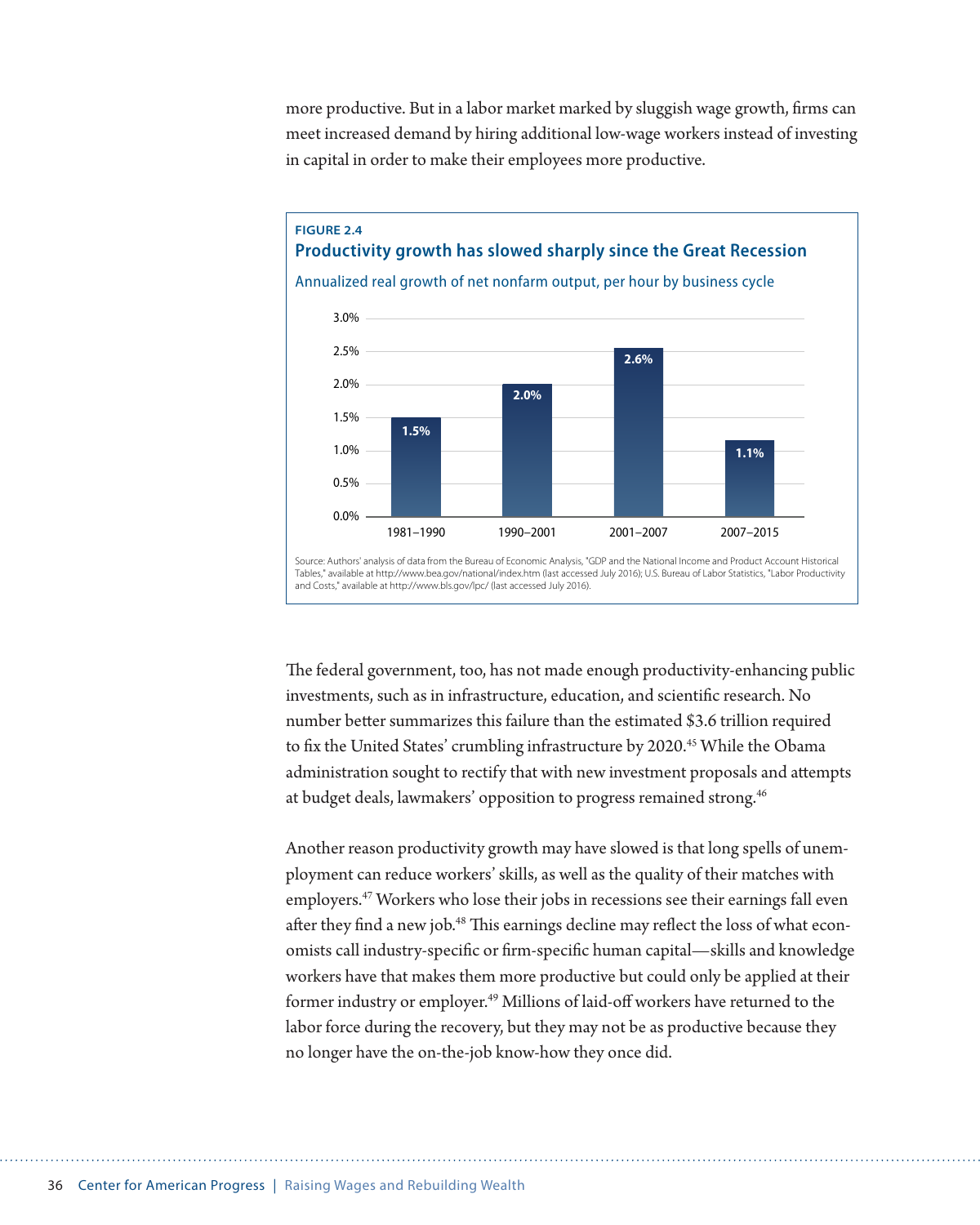more productive. But in a labor market marked by sluggish wage growth, firms can meet increased demand by hiring additional low-wage workers instead of investing in capital in order to make their employees more productive.



The federal government, too, has not made enough productivity-enhancing public investments, such as in infrastructure, education, and scientific research. No number better summarizes this failure than the estimated \$3.6 trillion required to fix the United States' crumbling infrastructure by 2020.<sup>45</sup> While the Obama administration sought to rectify that with new investment proposals and attempts at budget deals, lawmakers' opposition to progress remained strong.<sup>46</sup>

Another reason productivity growth may have slowed is that long spells of unemployment can reduce workers' skills, as well as the quality of their matches with employers.47 Workers who lose their jobs in recessions see their earnings fall even after they find a new job.<sup>48</sup> This earnings decline may reflect the loss of what economists call industry-specific or firm-specific human capital—skills and knowledge workers have that makes them more productive but could only be applied at their former industry or employer.<sup>49</sup> Millions of laid-off workers have returned to the labor force during the recovery, but they may not be as productive because they no longer have the on-the-job know-how they once did.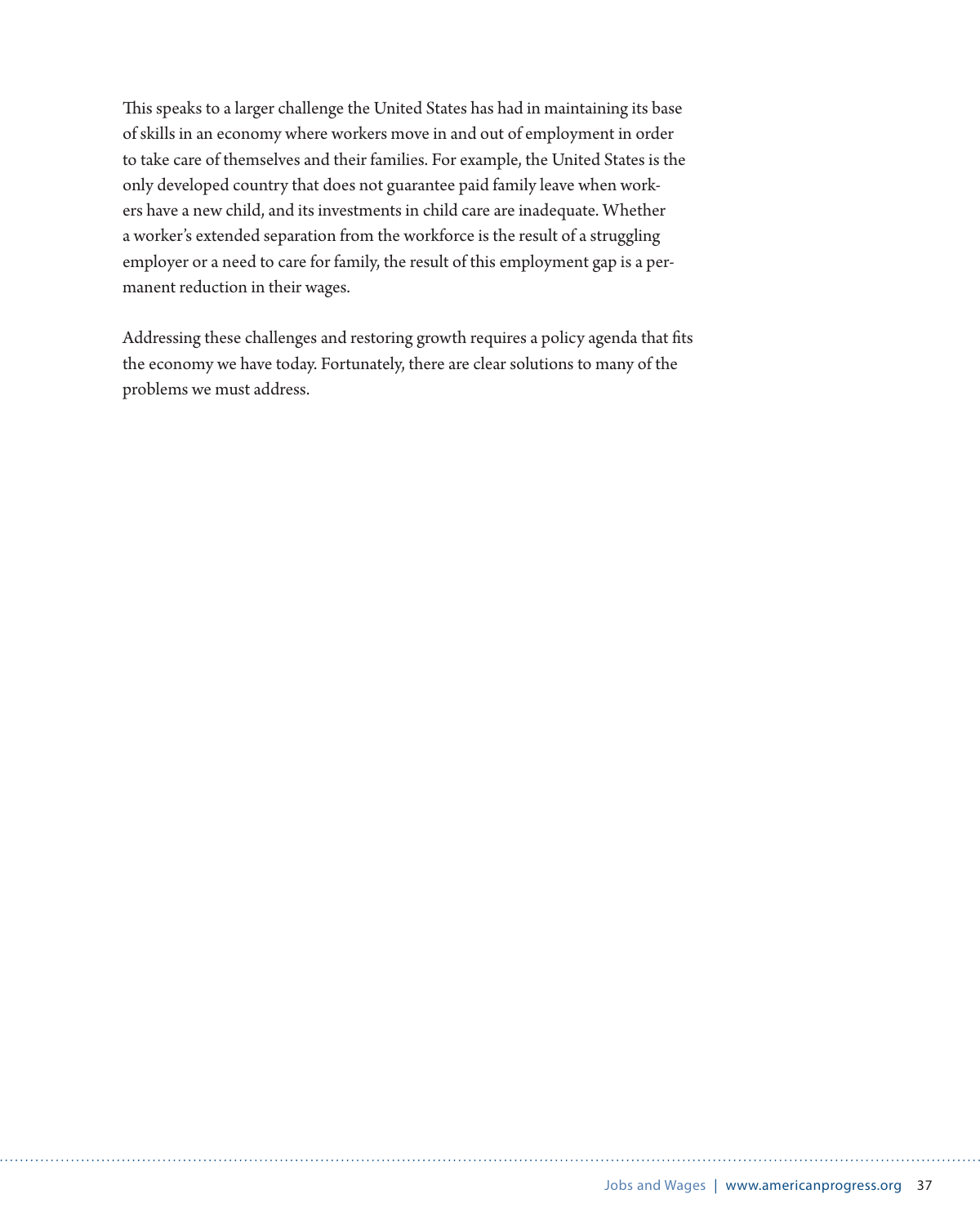This speaks to a larger challenge the United States has had in maintaining its base of skills in an economy where workers move in and out of employment in order to take care of themselves and their families. For example, the United States is the only developed country that does not guarantee paid family leave when workers have a new child, and its investments in child care are inadequate. Whether a worker's extended separation from the workforce is the result of a struggling employer or a need to care for family, the result of this employment gap is a permanent reduction in their wages.

Addressing these challenges and restoring growth requires a policy agenda that fits the economy we have today. Fortunately, there are clear solutions to many of the problems we must address.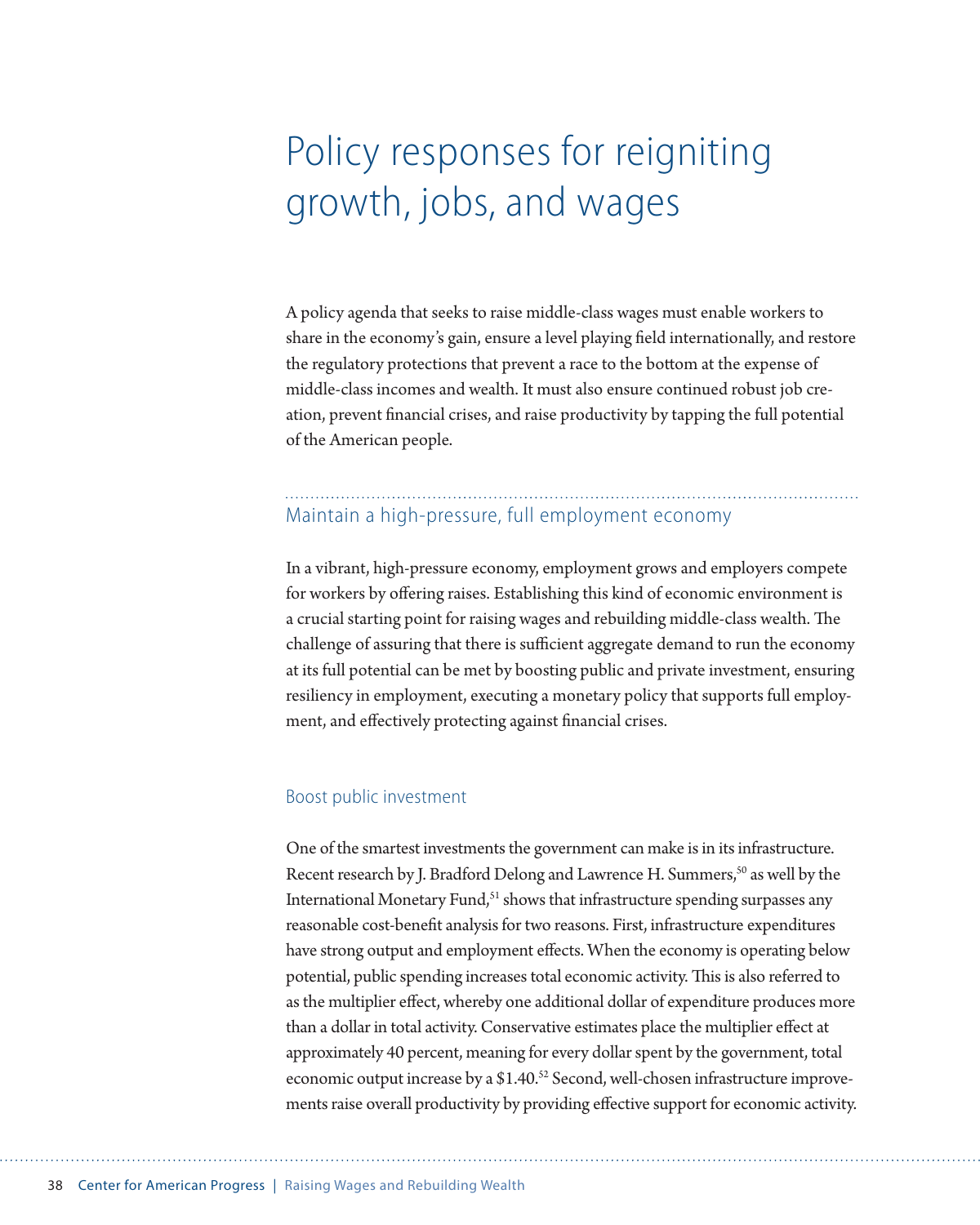## Policy responses for reigniting growth, jobs, and wages

A policy agenda that seeks to raise middle-class wages must enable workers to share in the economy's gain, ensure a level playing field internationally, and restore the regulatory protections that prevent a race to the bottom at the expense of middle-class incomes and wealth. It must also ensure continued robust job creation, prevent financial crises, and raise productivity by tapping the full potential of the American people.

## Maintain a high-pressure, full employment economy

In a vibrant, high-pressure economy, employment grows and employers compete for workers by offering raises. Establishing this kind of economic environment is a crucial starting point for raising wages and rebuilding middle-class wealth. The challenge of assuring that there is sufficient aggregate demand to run the economy at its full potential can be met by boosting public and private investment, ensuring resiliency in employment, executing a monetary policy that supports full employment, and effectively protecting against financial crises.

#### Boost public investment

One of the smartest investments the government can make is in its infrastructure. Recent research by J. Bradford Delong and Lawrence H. Summers,<sup>50</sup> as well by the International Monetary Fund, $51$  shows that infrastructure spending surpasses any reasonable cost-benefit analysis for two reasons. First, infrastructure expenditures have strong output and employment effects. When the economy is operating below potential, public spending increases total economic activity. This is also referred to as the multiplier effect, whereby one additional dollar of expenditure produces more than a dollar in total activity. Conservative estimates place the multiplier effect at approximately 40 percent, meaning for every dollar spent by the government, total economic output increase by a \$1.40.<sup>52</sup> Second, well-chosen infrastructure improvements raise overall productivity by providing effective support for economic activity.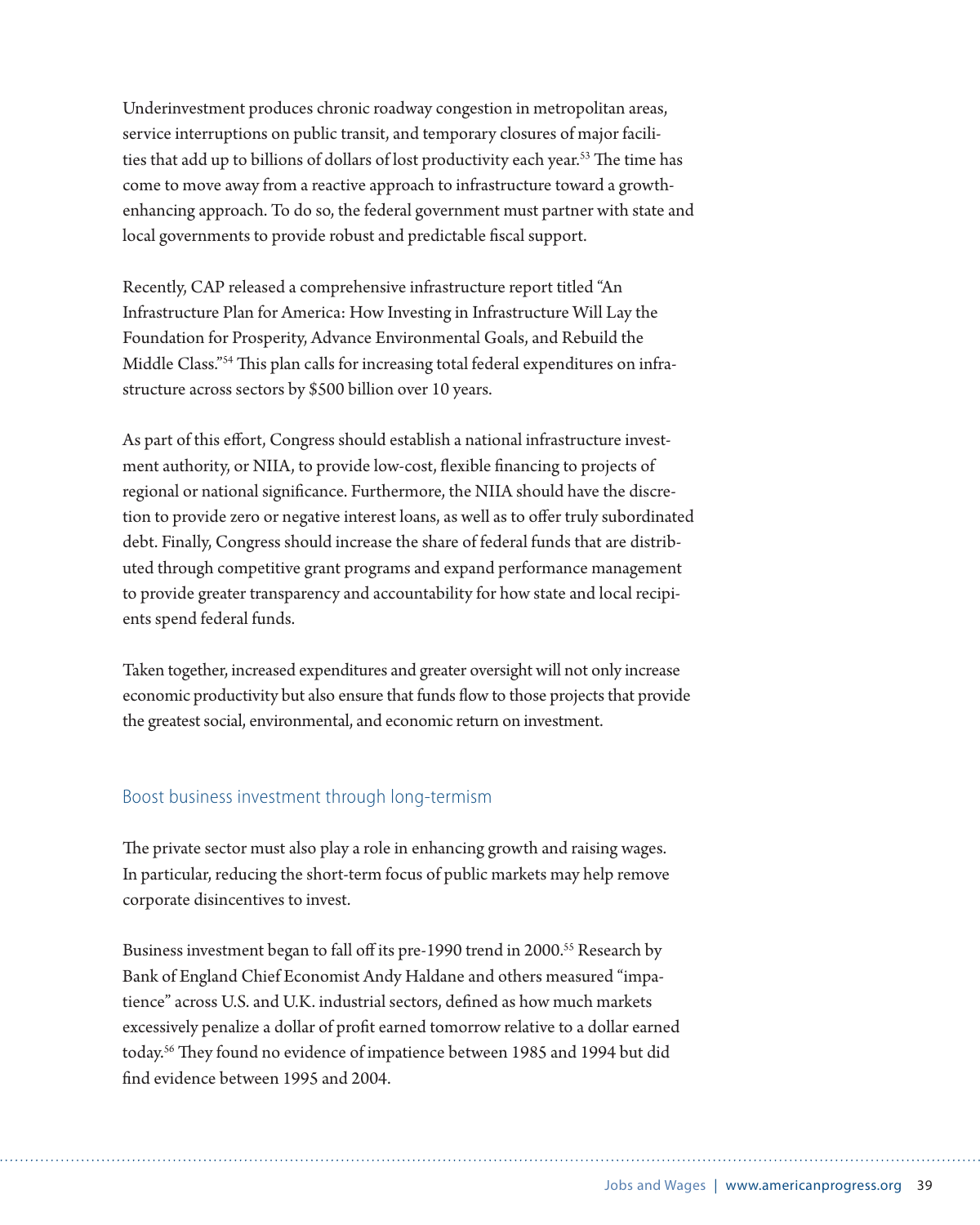Underinvestment produces chronic roadway congestion in metropolitan areas, service interruptions on public transit, and temporary closures of major facilities that add up to billions of dollars of lost productivity each year.<sup>53</sup> The time has come to move away from a reactive approach to infrastructure toward a growthenhancing approach. To do so, the federal government must partner with state and local governments to provide robust and predictable fiscal support.

Recently, CAP released a comprehensive infrastructure report titled "An Infrastructure Plan for America: How Investing in Infrastructure Will Lay the Foundation for Prosperity, Advance Environmental Goals, and Rebuild the Middle Class."54 This plan calls for increasing total federal expenditures on infrastructure across sectors by \$500 billion over 10 years.

As part of this effort, Congress should establish a national infrastructure investment authority, or NIIA, to provide low-cost, flexible financing to projects of regional or national significance. Furthermore, the NIIA should have the discretion to provide zero or negative interest loans, as well as to offer truly subordinated debt. Finally, Congress should increase the share of federal funds that are distributed through competitive grant programs and expand performance management to provide greater transparency and accountability for how state and local recipients spend federal funds.

Taken together, increased expenditures and greater oversight will not only increase economic productivity but also ensure that funds flow to those projects that provide the greatest social, environmental, and economic return on investment.

### Boost business investment through long-termism

The private sector must also play a role in enhancing growth and raising wages. In particular, reducing the short-term focus of public markets may help remove corporate disincentives to invest.

Business investment began to fall off its pre-1990 trend in 2000.<sup>55</sup> Research by Bank of England Chief Economist Andy Haldane and others measured "impatience" across U.S. and U.K. industrial sectors, defined as how much markets excessively penalize a dollar of profit earned tomorrow relative to a dollar earned today.56 They found no evidence of impatience between 1985 and 1994 but did find evidence between 1995 and 2004.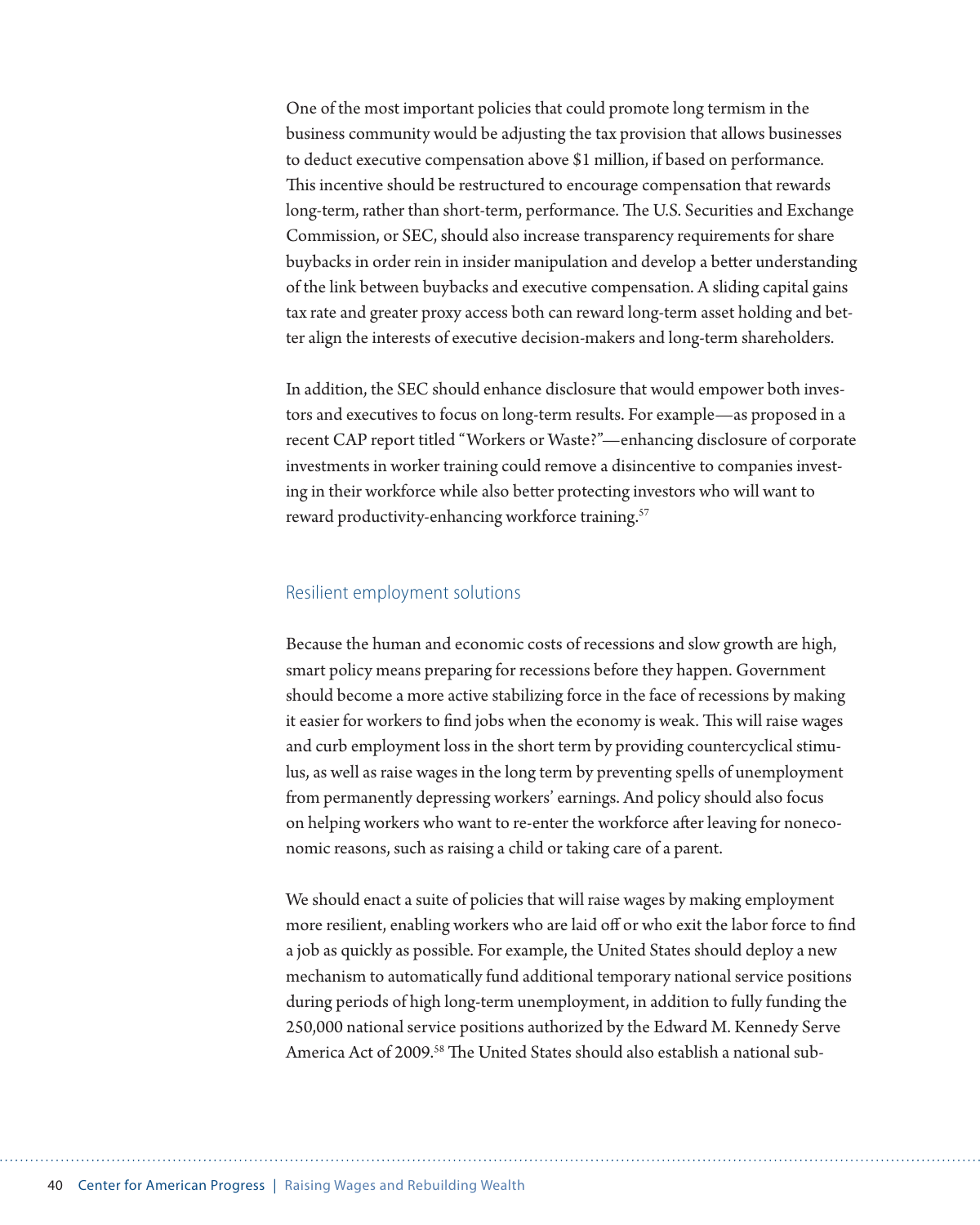One of the most important policies that could promote long termism in the business community would be adjusting the tax provision that allows businesses to deduct executive compensation above \$1 million, if based on performance. This incentive should be restructured to encourage compensation that rewards long-term, rather than short-term, performance. The U.S. Securities and Exchange Commission, or SEC, should also increase transparency requirements for share buybacks in order rein in insider manipulation and develop a better understanding of the link between buybacks and executive compensation. A sliding capital gains tax rate and greater proxy access both can reward long-term asset holding and better align the interests of executive decision-makers and long-term shareholders.

In addition, the SEC should enhance disclosure that would empower both investors and executives to focus on long-term results. For example—as proposed in a recent CAP report titled "Workers or Waste?"—enhancing disclosure of corporate investments in worker training could remove a disincentive to companies investing in their workforce while also better protecting investors who will want to reward productivity-enhancing workforce training.<sup>57</sup>

#### Resilient employment solutions

Because the human and economic costs of recessions and slow growth are high, smart policy means preparing for recessions before they happen. Government should become a more active stabilizing force in the face of recessions by making it easier for workers to find jobs when the economy is weak. This will raise wages and curb employment loss in the short term by providing countercyclical stimulus, as well as raise wages in the long term by preventing spells of unemployment from permanently depressing workers' earnings. And policy should also focus on helping workers who want to re-enter the workforce after leaving for noneconomic reasons, such as raising a child or taking care of a parent.

We should enact a suite of policies that will raise wages by making employment more resilient, enabling workers who are laid off or who exit the labor force to find a job as quickly as possible. For example, the United States should deploy a new mechanism to automatically fund additional temporary national service positions during periods of high long-term unemployment, in addition to fully funding the 250,000 national service positions authorized by the Edward M. Kennedy Serve America Act of 2009.<sup>58</sup> The United States should also establish a national sub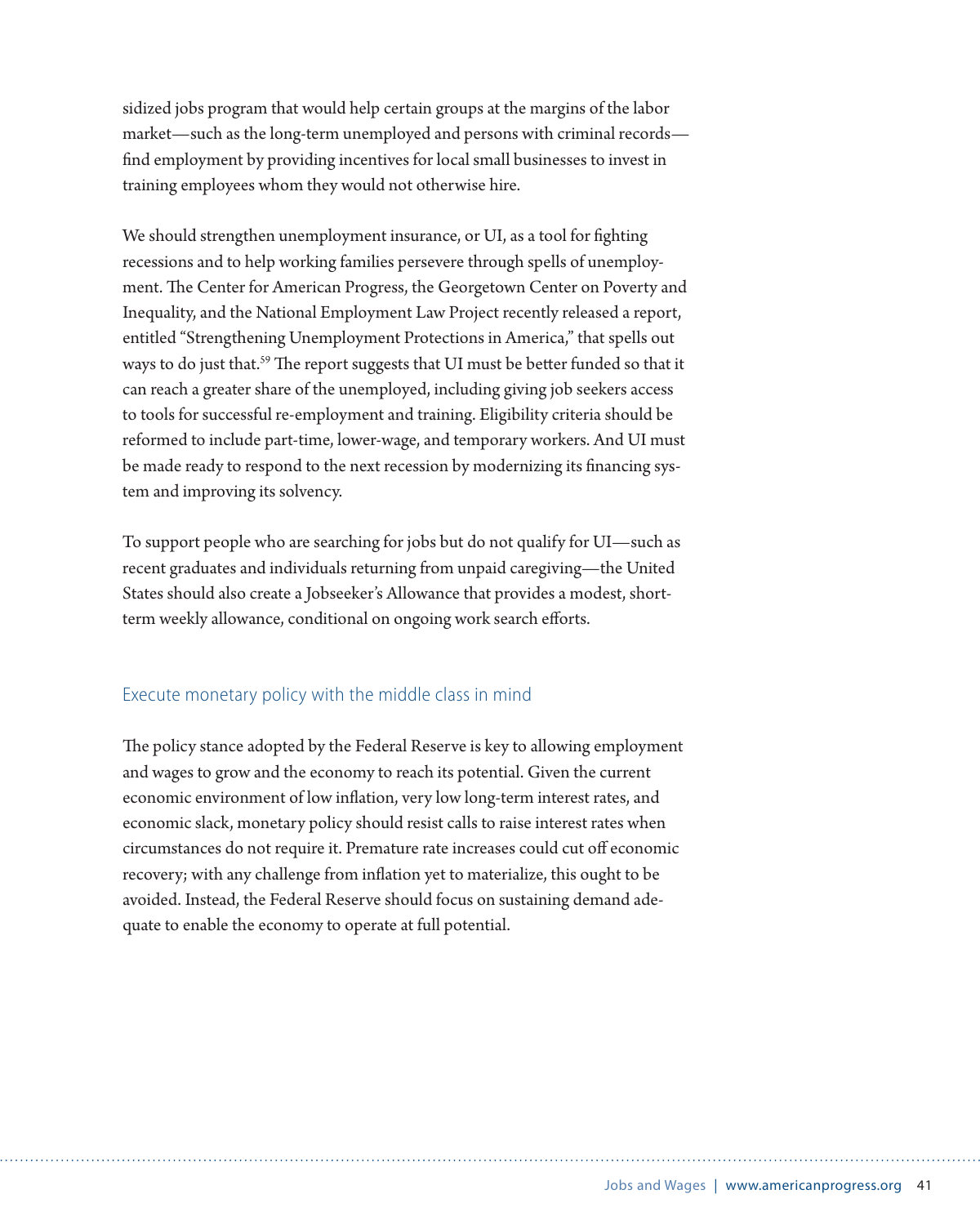sidized jobs program that would help certain groups at the margins of the labor market—such as the long-term unemployed and persons with criminal records find employment by providing incentives for local small businesses to invest in training employees whom they would not otherwise hire.

We should strengthen unemployment insurance, or UI, as a tool for fighting recessions and to help working families persevere through spells of unemployment. The Center for American Progress, the Georgetown Center on Poverty and Inequality, and the National Employment Law Project recently released a report, entitled "Strengthening Unemployment Protections in America," that spells out ways to do just that.<sup>59</sup> The report suggests that UI must be better funded so that it can reach a greater share of the unemployed, including giving job seekers access to tools for successful re-employment and training. Eligibility criteria should be reformed to include part-time, lower-wage, and temporary workers. And UI must be made ready to respond to the next recession by modernizing its financing system and improving its solvency.

To support people who are searching for jobs but do not qualify for UI—such as recent graduates and individuals returning from unpaid caregiving—the United States should also create a Jobseeker's Allowance that provides a modest, shortterm weekly allowance, conditional on ongoing work search efforts.

### Execute monetary policy with the middle class in mind

The policy stance adopted by the Federal Reserve is key to allowing employment and wages to grow and the economy to reach its potential. Given the current economic environment of low inflation, very low long-term interest rates, and economic slack, monetary policy should resist calls to raise interest rates when circumstances do not require it. Premature rate increases could cut off economic recovery; with any challenge from inflation yet to materialize, this ought to be avoided. Instead, the Federal Reserve should focus on sustaining demand adequate to enable the economy to operate at full potential.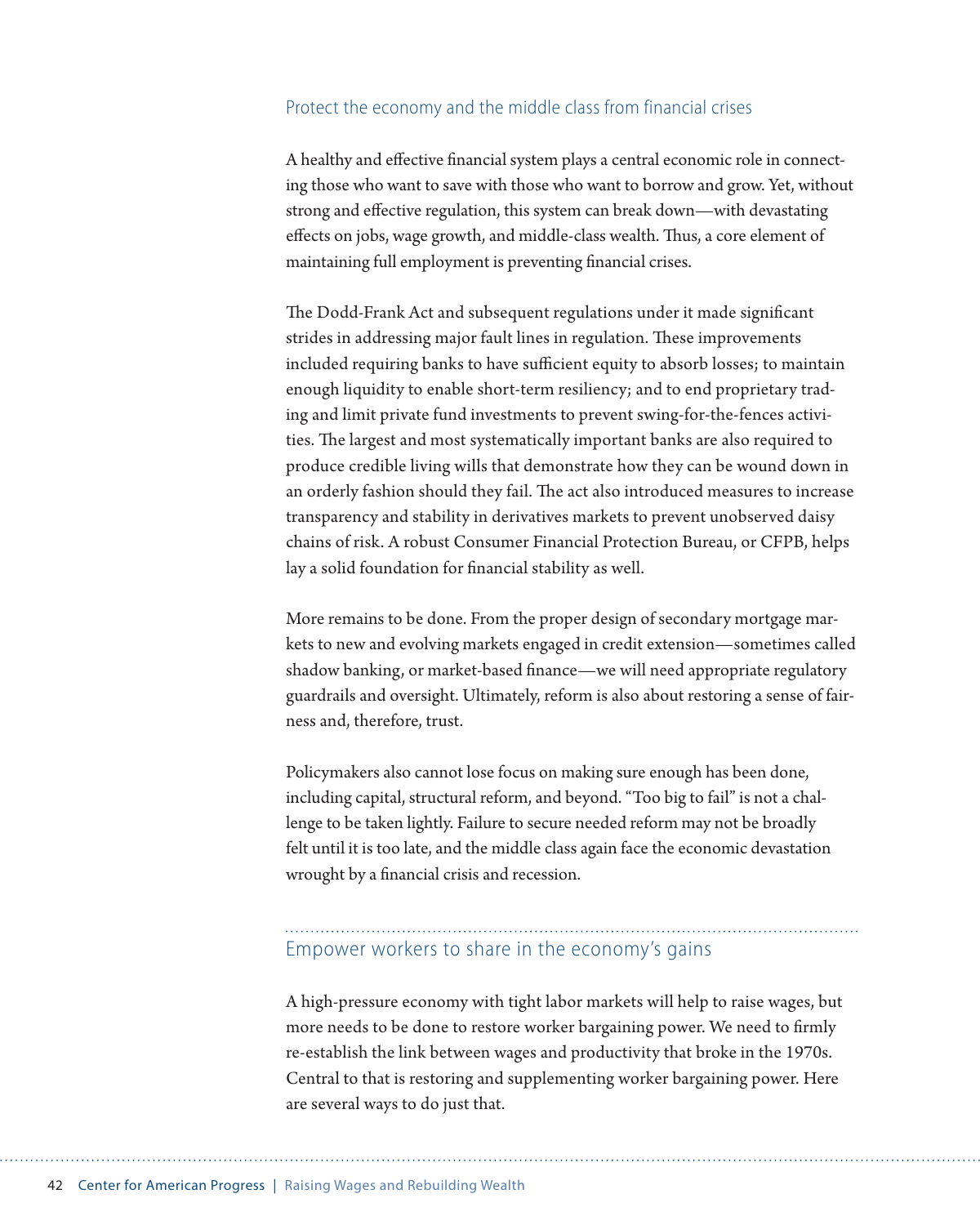#### Protect the economy and the middle class from financial crises

A healthy and effective financial system plays a central economic role in connecting those who want to save with those who want to borrow and grow. Yet, without strong and effective regulation, this system can break down—with devastating effects on jobs, wage growth, and middle-class wealth. Thus, a core element of maintaining full employment is preventing financial crises.

The Dodd-Frank Act and subsequent regulations under it made significant strides in addressing major fault lines in regulation. These improvements included requiring banks to have sufficient equity to absorb losses; to maintain enough liquidity to enable short-term resiliency; and to end proprietary trading and limit private fund investments to prevent swing-for-the-fences activities. The largest and most systematically important banks are also required to produce credible living wills that demonstrate how they can be wound down in an orderly fashion should they fail. The act also introduced measures to increase transparency and stability in derivatives markets to prevent unobserved daisy chains of risk. A robust Consumer Financial Protection Bureau, or CFPB, helps lay a solid foundation for financial stability as well.

More remains to be done. From the proper design of secondary mortgage markets to new and evolving markets engaged in credit extension—sometimes called shadow banking, or market-based finance—we will need appropriate regulatory guardrails and oversight. Ultimately, reform is also about restoring a sense of fairness and, therefore, trust.

Policymakers also cannot lose focus on making sure enough has been done, including capital, structural reform, and beyond. "Too big to fail" is not a challenge to be taken lightly. Failure to secure needed reform may not be broadly felt until it is too late, and the middle class again face the economic devastation wrought by a financial crisis and recession.

## Empower workers to share in the economy's gains

A high-pressure economy with tight labor markets will help to raise wages, but more needs to be done to restore worker bargaining power. We need to firmly re-establish the link between wages and productivity that broke in the 1970s. Central to that is restoring and supplementing worker bargaining power. Here are several ways to do just that.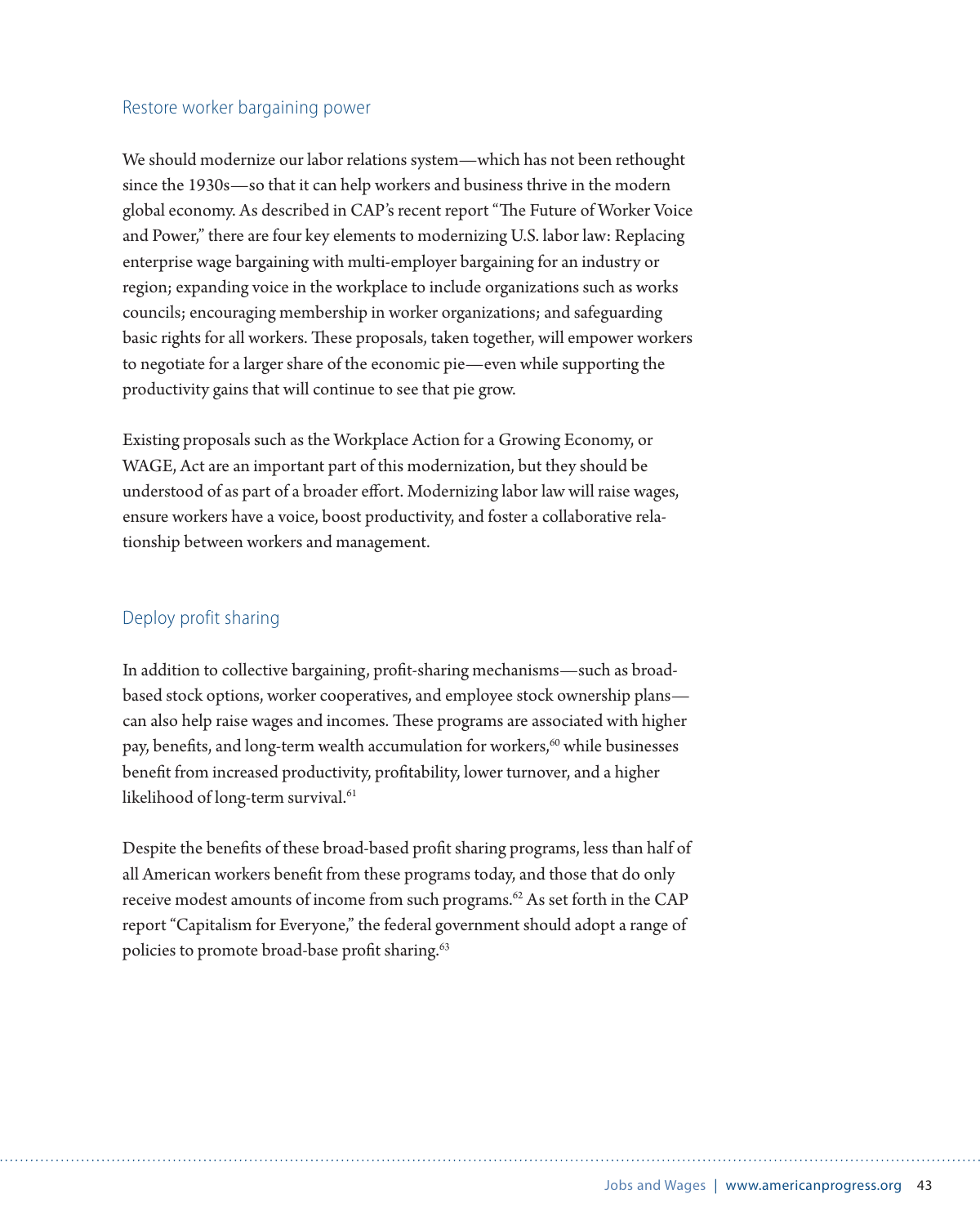#### Restore worker bargaining power

We should modernize our labor relations system—which has not been rethought since the 1930s—so that it can help workers and business thrive in the modern global economy. As described in CAP's recent report "The Future of Worker Voice and Power," there are four key elements to modernizing U.S. labor law: Replacing enterprise wage bargaining with multi-employer bargaining for an industry or region; expanding voice in the workplace to include organizations such as works councils; encouraging membership in worker organizations; and safeguarding basic rights for all workers. These proposals, taken together, will empower workers to negotiate for a larger share of the economic pie—even while supporting the productivity gains that will continue to see that pie grow.

Existing proposals such as the Workplace Action for a Growing Economy, or WAGE, Act are an important part of this modernization, but they should be understood of as part of a broader effort. Modernizing labor law will raise wages, ensure workers have a voice, boost productivity, and foster a collaborative relationship between workers and management.

## Deploy profit sharing

In addition to collective bargaining, profit-sharing mechanisms—such as broadbased stock options, worker cooperatives, and employee stock ownership plans can also help raise wages and incomes. These programs are associated with higher pay, benefits, and long-term wealth accumulation for workers,<sup>60</sup> while businesses benefit from increased productivity, profitability, lower turnover, and a higher likelihood of long-term survival.<sup>61</sup>

Despite the benefits of these broad-based profit sharing programs, less than half of all American workers benefit from these programs today, and those that do only receive modest amounts of income from such programs.<sup>62</sup> As set forth in the CAP report "Capitalism for Everyone," the federal government should adopt a range of policies to promote broad-base profit sharing.<sup>63</sup>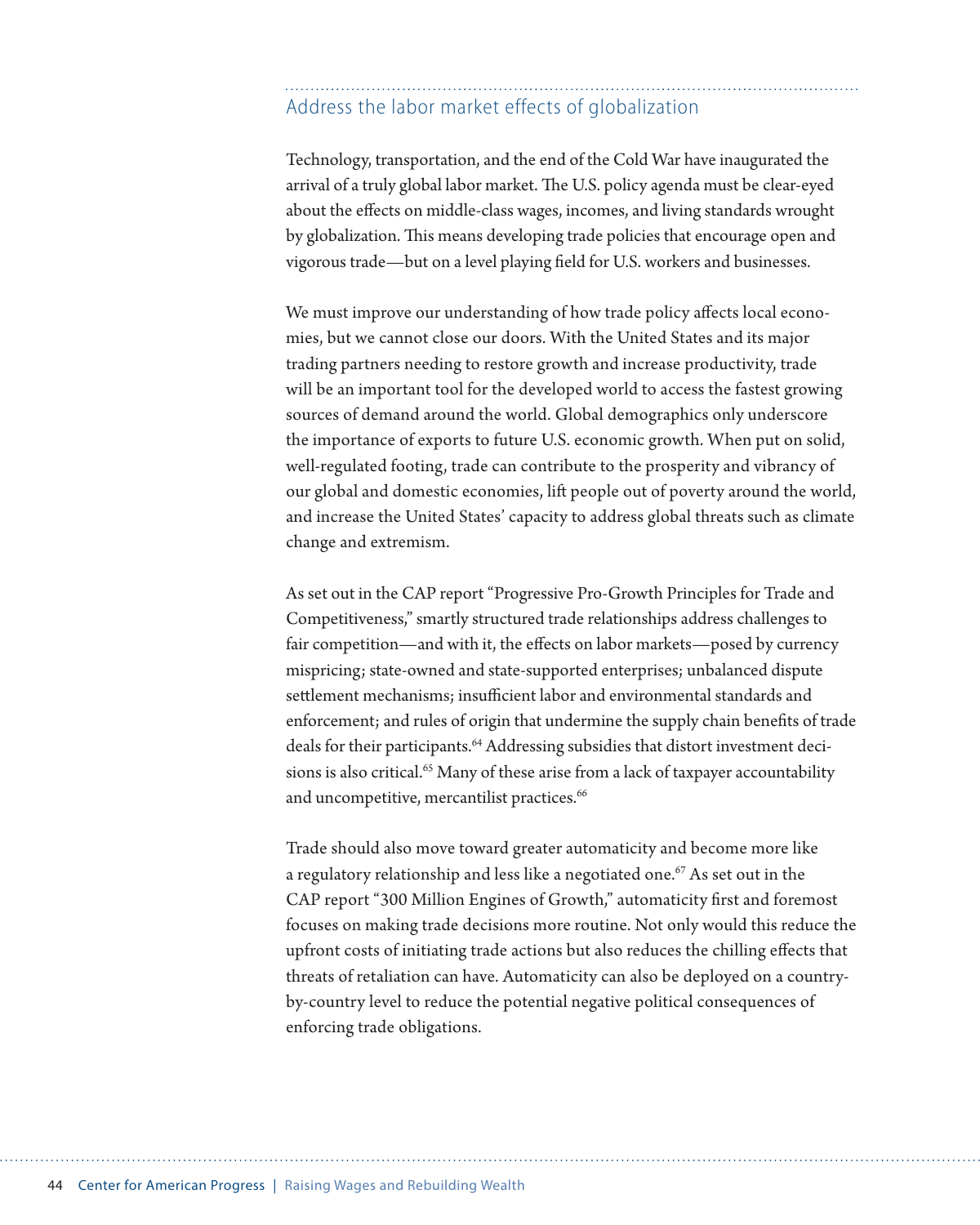## Address the labor market effects of globalization

Technology, transportation, and the end of the Cold War have inaugurated the arrival of a truly global labor market. The U.S. policy agenda must be clear-eyed about the effects on middle-class wages, incomes, and living standards wrought by globalization. This means developing trade policies that encourage open and vigorous trade—but on a level playing field for U.S. workers and businesses.

We must improve our understanding of how trade policy affects local economies, but we cannot close our doors. With the United States and its major trading partners needing to restore growth and increase productivity, trade will be an important tool for the developed world to access the fastest growing sources of demand around the world. Global demographics only underscore the importance of exports to future U.S. economic growth. When put on solid, well-regulated footing, trade can contribute to the prosperity and vibrancy of our global and domestic economies, lift people out of poverty around the world, and increase the United States' capacity to address global threats such as climate change and extremism.

As set out in the CAP report "Progressive Pro-Growth Principles for Trade and Competitiveness," smartly structured trade relationships address challenges to fair competition—and with it, the effects on labor markets—posed by currency mispricing; state-owned and state-supported enterprises; unbalanced dispute settlement mechanisms; insufficient labor and environmental standards and enforcement; and rules of origin that undermine the supply chain benefits of trade deals for their participants.<sup>64</sup> Addressing subsidies that distort investment decisions is also critical.<sup>65</sup> Many of these arise from a lack of taxpayer accountability and uncompetitive, mercantilist practices.<sup>66</sup>

Trade should also move toward greater automaticity and become more like a regulatory relationship and less like a negotiated one.<sup>67</sup> As set out in the CAP report "300 Million Engines of Growth," automaticity first and foremost focuses on making trade decisions more routine. Not only would this reduce the upfront costs of initiating trade actions but also reduces the chilling effects that threats of retaliation can have. Automaticity can also be deployed on a countryby-country level to reduce the potential negative political consequences of enforcing trade obligations.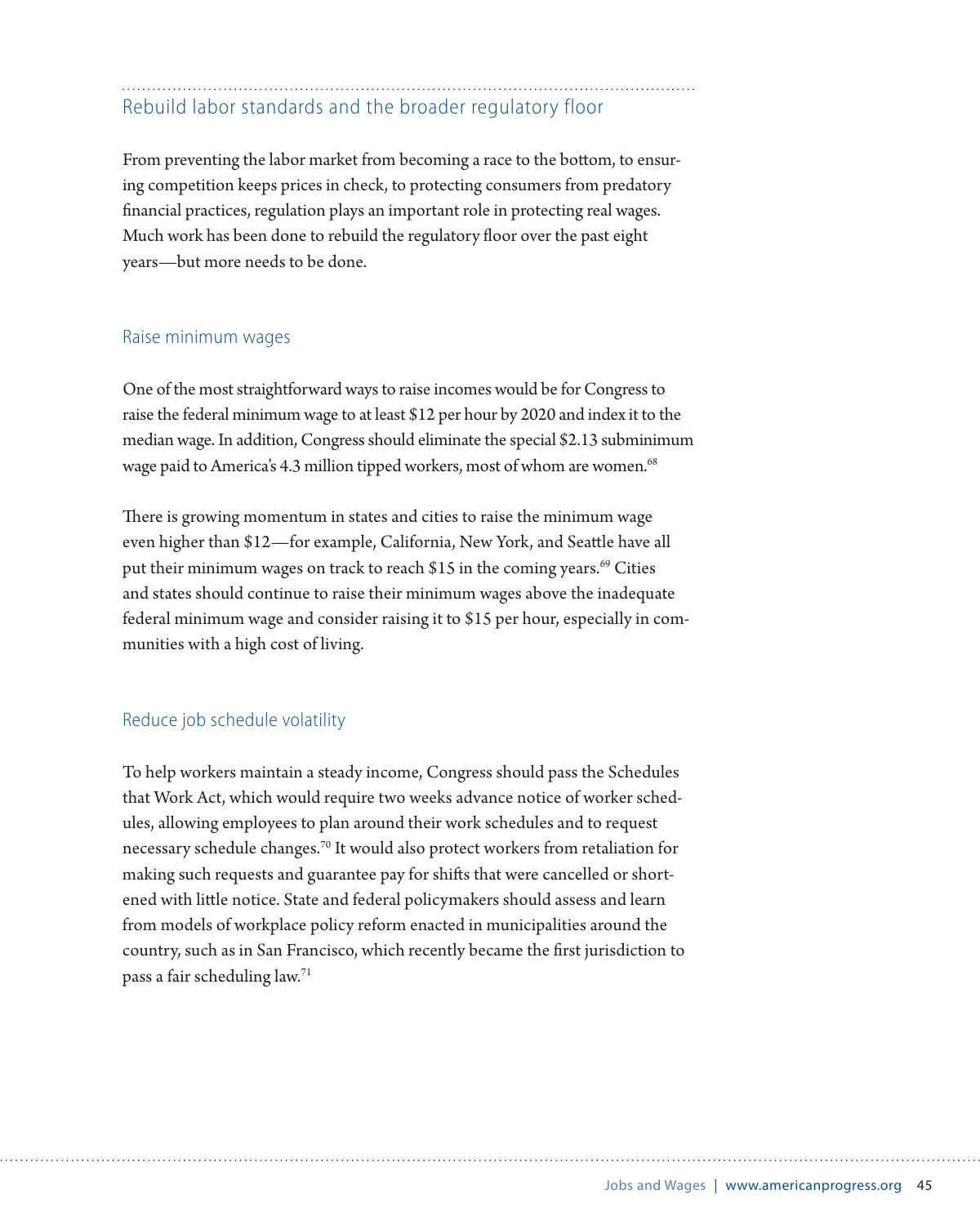## Rebuild labor standards and the broader regulatory floor

From preventing the labor market from becoming a race to the bottom, to ensuring competition keeps prices in check, to protecting consumers from predatory financial practices, regulation plays an important role in protecting real wages. Much work has been done to rebuild the regulatory floor over the past eight years—but more needs to be done.

#### Raise minimum wages

One of the most straightforward ways to raise incomes would be for Congress to raise the federal minimum wage to at least \$12 per hour by 2020 and index it to the median wage. In addition, Congress should eliminate the special \$2.13 subminimum wage paid to America's 4.3 million tipped workers, most of whom are women.<sup>68</sup>

There is growing momentum in states and cities to raise the minimum wage even higher than \$12—for example, California, New York, and Seattle have all put their minimum wages on track to reach \$15 in the coming years.<sup>69</sup> Cities and states should continue to raise their minimum wages above the inadequate federal minimum wage and consider raising it to \$15 per hour, especially in communities with a high cost of living.

### Reduce job schedule volatility

To help workers maintain a steady income, Congress should pass the Schedules that Work Act, which would require two weeks advance notice of worker schedules, allowing employees to plan around their work schedules and to request necessary schedule changes.70 It would also protect workers from retaliation for making such requests and guarantee pay for shifts that were cancelled or shortened with little notice. State and federal policymakers should assess and learn from models of workplace policy reform enacted in municipalities around the country, such as in San Francisco, which recently became the first jurisdiction to pass a fair scheduling law.71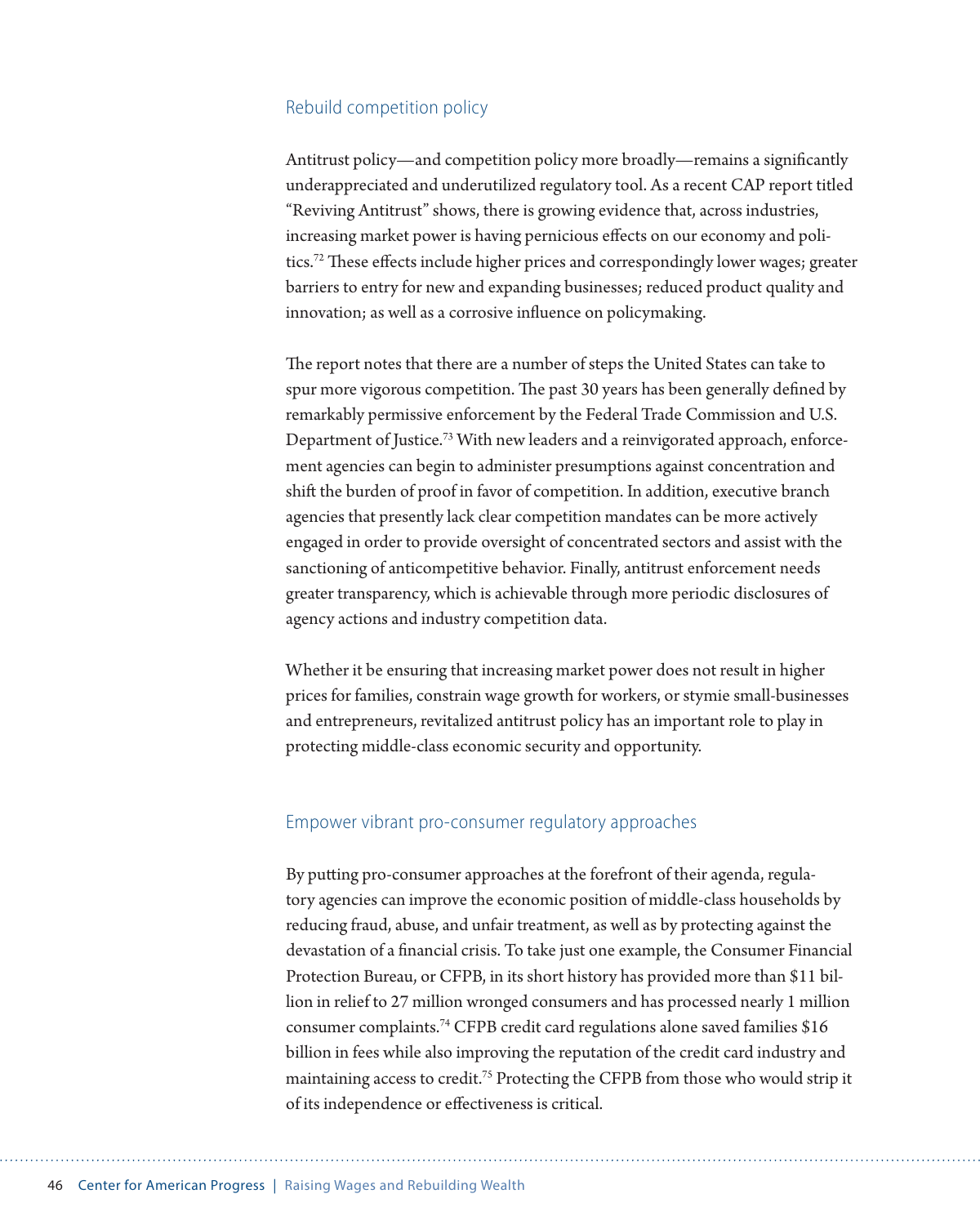#### Rebuild competition policy

Antitrust policy—and competition policy more broadly—remains a significantly underappreciated and underutilized regulatory tool. As a recent CAP report titled "Reviving Antitrust" shows, there is growing evidence that, across industries, increasing market power is having pernicious effects on our economy and politics.72 These effects include higher prices and correspondingly lower wages; greater barriers to entry for new and expanding businesses; reduced product quality and innovation; as well as a corrosive influence on policymaking.

The report notes that there are a number of steps the United States can take to spur more vigorous competition. The past 30 years has been generally defined by remarkably permissive enforcement by the Federal Trade Commission and U.S. Department of Justice.<sup>73</sup> With new leaders and a reinvigorated approach, enforcement agencies can begin to administer presumptions against concentration and shift the burden of proof in favor of competition. In addition, executive branch agencies that presently lack clear competition mandates can be more actively engaged in order to provide oversight of concentrated sectors and assist with the sanctioning of anticompetitive behavior. Finally, antitrust enforcement needs greater transparency, which is achievable through more periodic disclosures of agency actions and industry competition data.

Whether it be ensuring that increasing market power does not result in higher prices for families, constrain wage growth for workers, or stymie small-businesses and entrepreneurs, revitalized antitrust policy has an important role to play in protecting middle-class economic security and opportunity.

#### Empower vibrant pro-consumer regulatory approaches

By putting pro-consumer approaches at the forefront of their agenda, regulatory agencies can improve the economic position of middle-class households by reducing fraud, abuse, and unfair treatment, as well as by protecting against the devastation of a financial crisis. To take just one example, the Consumer Financial Protection Bureau, or CFPB, in its short history has provided more than \$11 billion in relief to 27 million wronged consumers and has processed nearly 1 million consumer complaints.74 CFPB credit card regulations alone saved families \$16 billion in fees while also improving the reputation of the credit card industry and maintaining access to credit.<sup>75</sup> Protecting the CFPB from those who would strip it of its independence or effectiveness is critical.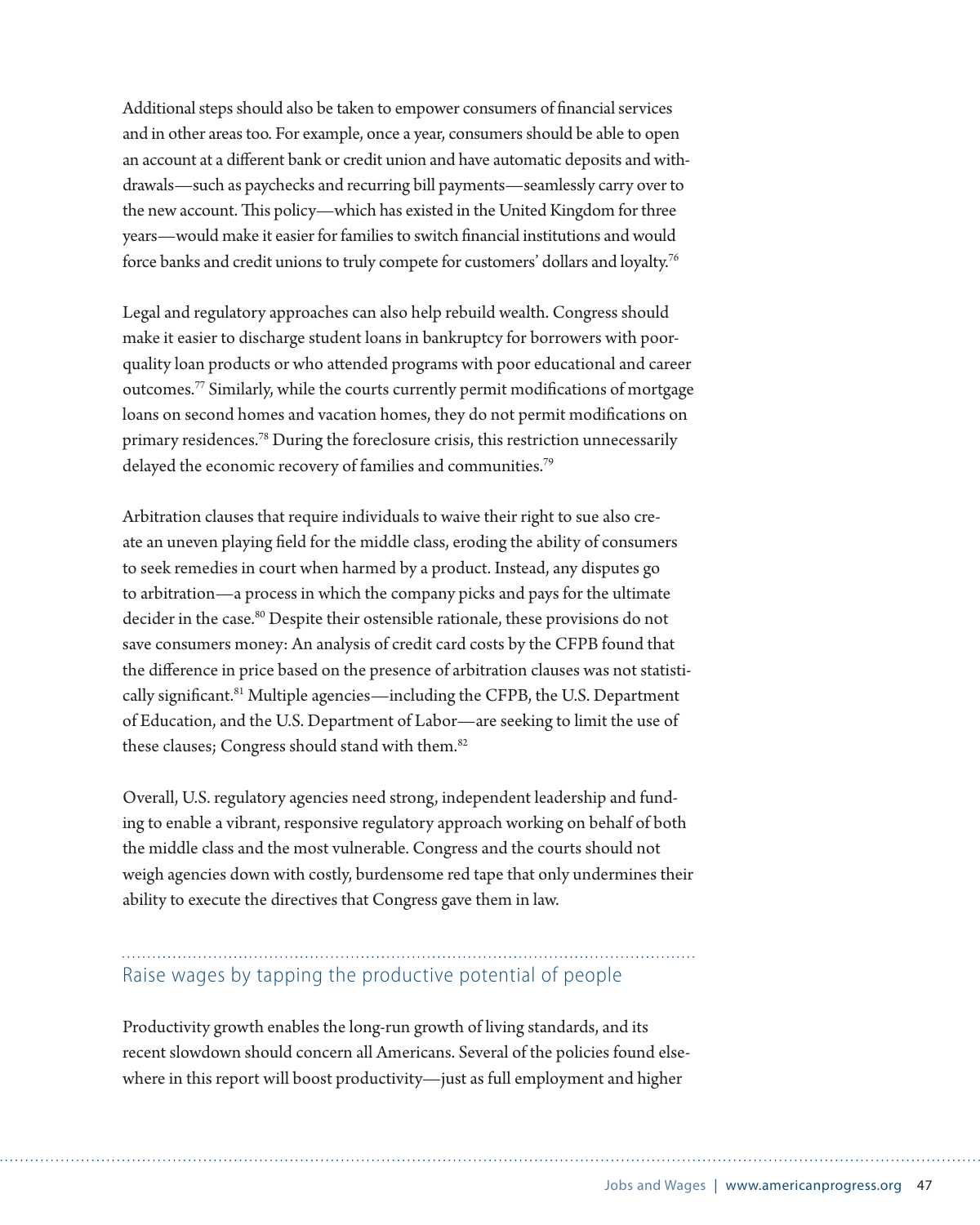Additional steps should also be taken to empower consumers of financial services and in other areas too. For example, once a year, consumers should be able to open an account at a different bank or credit union and have automatic deposits and withdrawals—such as paychecks and recurring bill payments—seamlessly carry over to the new account. This policy—which has existed in the United Kingdom for three years—would make it easier for families to switch financial institutions and would force banks and credit unions to truly compete for customers' dollars and loyalty.76

Legal and regulatory approaches can also help rebuild wealth. Congress should make it easier to discharge student loans in bankruptcy for borrowers with poorquality loan products or who attended programs with poor educational and career outcomes.77 Similarly, while the courts currently permit modifications of mortgage loans on second homes and vacation homes, they do not permit modifications on primary residences.78 During the foreclosure crisis, this restriction unnecessarily delayed the economic recovery of families and communities.79

Arbitration clauses that require individuals to waive their right to sue also create an uneven playing field for the middle class, eroding the ability of consumers to seek remedies in court when harmed by a product. Instead, any disputes go to arbitration—a process in which the company picks and pays for the ultimate decider in the case.<sup>80</sup> Despite their ostensible rationale, these provisions do not save consumers money: An analysis of credit card costs by the CFPB found that the difference in price based on the presence of arbitration clauses was not statistically significant.<sup>81</sup> Multiple agencies—including the CFPB, the U.S. Department of Education, and the U.S. Department of Labor—are seeking to limit the use of these clauses; Congress should stand with them.<sup>82</sup>

Overall, U.S. regulatory agencies need strong, independent leadership and funding to enable a vibrant, responsive regulatory approach working on behalf of both the middle class and the most vulnerable. Congress and the courts should not weigh agencies down with costly, burdensome red tape that only undermines their ability to execute the directives that Congress gave them in law.

## Raise wages by tapping the productive potential of people

Productivity growth enables the long-run growth of living standards, and its recent slowdown should concern all Americans. Several of the policies found elsewhere in this report will boost productivity—just as full employment and higher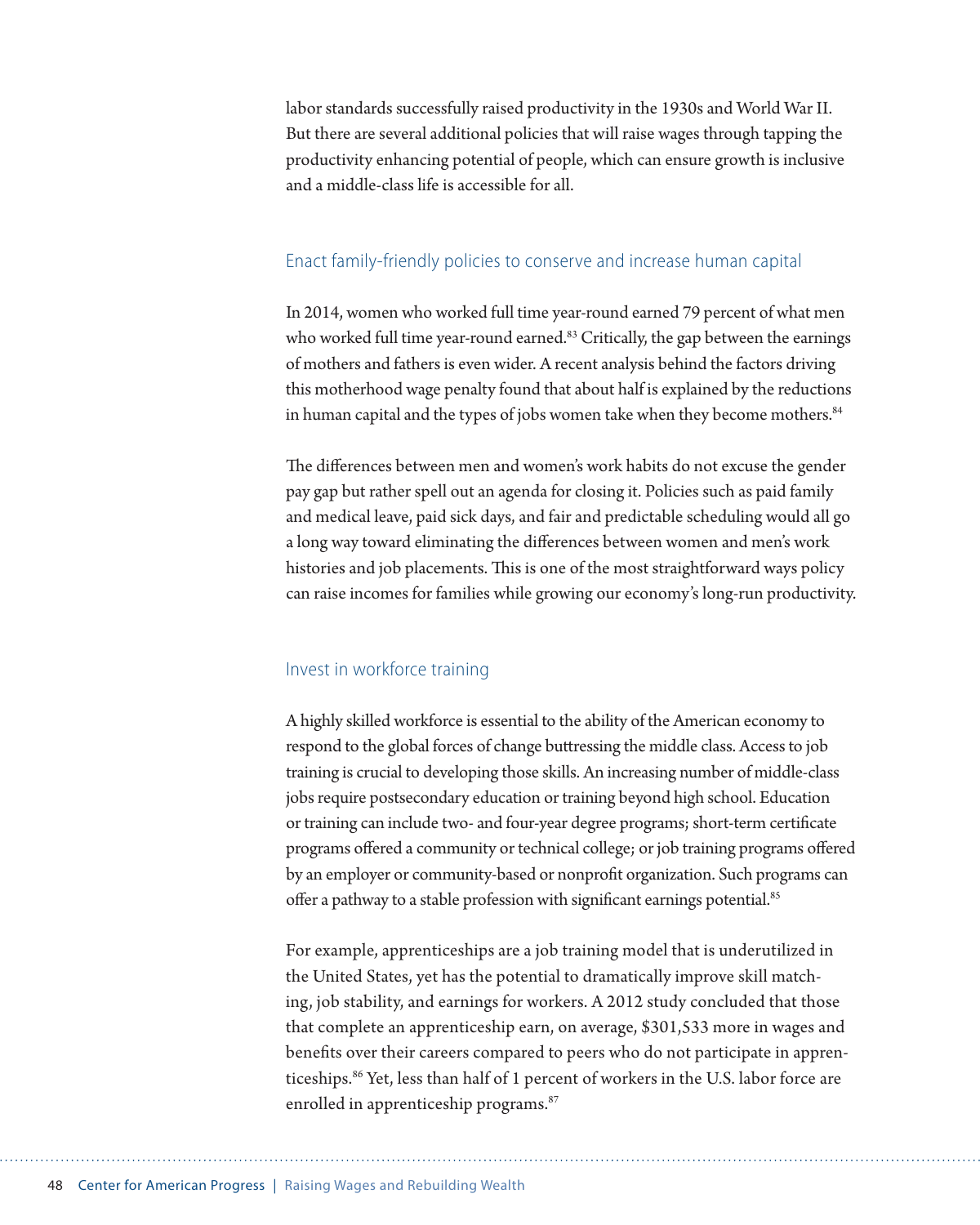labor standards successfully raised productivity in the 1930s and World War II. But there are several additional policies that will raise wages through tapping the productivity enhancing potential of people, which can ensure growth is inclusive and a middle-class life is accessible for all.

#### Enact family-friendly policies to conserve and increase human capital

In 2014, women who worked full time year-round earned 79 percent of what men who worked full time year-round earned.<sup>83</sup> Critically, the gap between the earnings of mothers and fathers is even wider. A recent analysis behind the factors driving this motherhood wage penalty found that about half is explained by the reductions in human capital and the types of jobs women take when they become mothers.<sup>84</sup>

The differences between men and women's work habits do not excuse the gender pay gap but rather spell out an agenda for closing it. Policies such as paid family and medical leave, paid sick days, and fair and predictable scheduling would all go a long way toward eliminating the differences between women and men's work histories and job placements. This is one of the most straightforward ways policy can raise incomes for families while growing our economy's long-run productivity.

#### Invest in workforce training

A highly skilled workforce is essential to the ability of the American economy to respond to the global forces of change buttressing the middle class. Access to job training is crucial to developing those skills. An increasing number of middle-class jobs require postsecondary education or training beyond high school. Education or training can include two- and four-year degree programs; short-term certificate programs offered a community or technical college; or job training programs offered by an employer or community-based or nonprofit organization. Such programs can offer a pathway to a stable profession with significant earnings potential.<sup>85</sup>

For example, apprenticeships are a job training model that is underutilized in the United States, yet has the potential to dramatically improve skill matching, job stability, and earnings for workers. A 2012 study concluded that those that complete an apprenticeship earn, on average, \$301,533 more in wages and benefits over their careers compared to peers who do not participate in apprenticeships.<sup>86</sup> Yet, less than half of 1 percent of workers in the U.S. labor force are enrolled in apprenticeship programs.<sup>87</sup>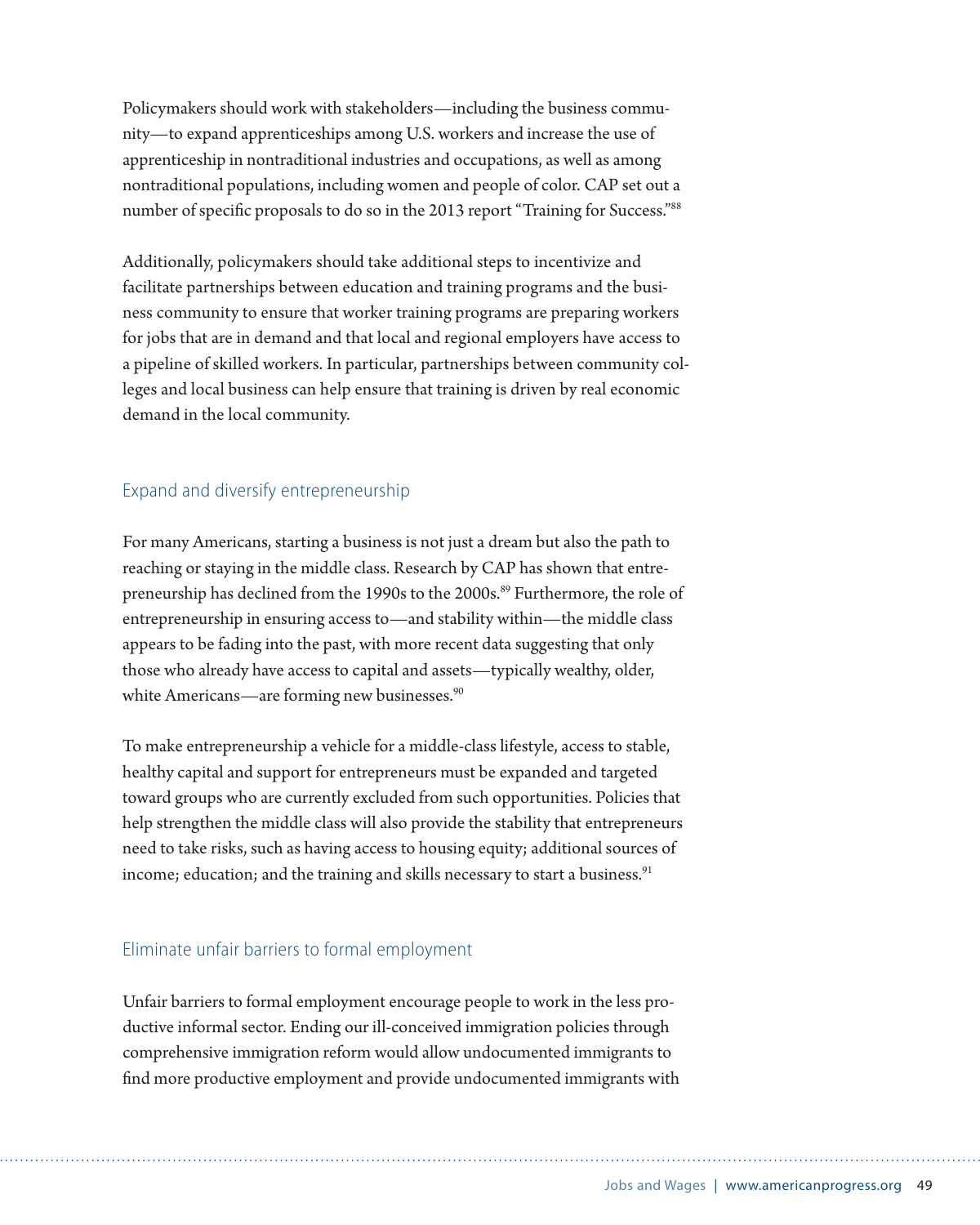Policymakers should work with stakeholders—including the business community—to expand apprenticeships among U.S. workers and increase the use of apprenticeship in nontraditional industries and occupations, as well as among nontraditional populations, including women and people of color. CAP set out a number of specific proposals to do so in the 2013 report "Training for Success."88

Additionally, policymakers should take additional steps to incentivize and facilitate partnerships between education and training programs and the business community to ensure that worker training programs are preparing workers for jobs that are in demand and that local and regional employers have access to a pipeline of skilled workers. In particular, partnerships between community colleges and local business can help ensure that training is driven by real economic demand in the local community.

### Expand and diversify entrepreneurship

For many Americans, starting a business is not just a dream but also the path to reaching or staying in the middle class. Research by CAP has shown that entrepreneurship has declined from the 1990s to the 2000s.<sup>89</sup> Furthermore, the role of entrepreneurship in ensuring access to—and stability within—the middle class appears to be fading into the past, with more recent data suggesting that only those who already have access to capital and assets—typically wealthy, older, white Americans—are forming new businesses.<sup>90</sup>

To make entrepreneurship a vehicle for a middle-class lifestyle, access to stable, healthy capital and support for entrepreneurs must be expanded and targeted toward groups who are currently excluded from such opportunities. Policies that help strengthen the middle class will also provide the stability that entrepreneurs need to take risks, such as having access to housing equity; additional sources of income; education; and the training and skills necessary to start a business. 91

### Eliminate unfair barriers to formal employment

Unfair barriers to formal employment encourage people to work in the less productive informal sector. Ending our ill-conceived immigration policies through comprehensive immigration reform would allow undocumented immigrants to find more productive employment and provide undocumented immigrants with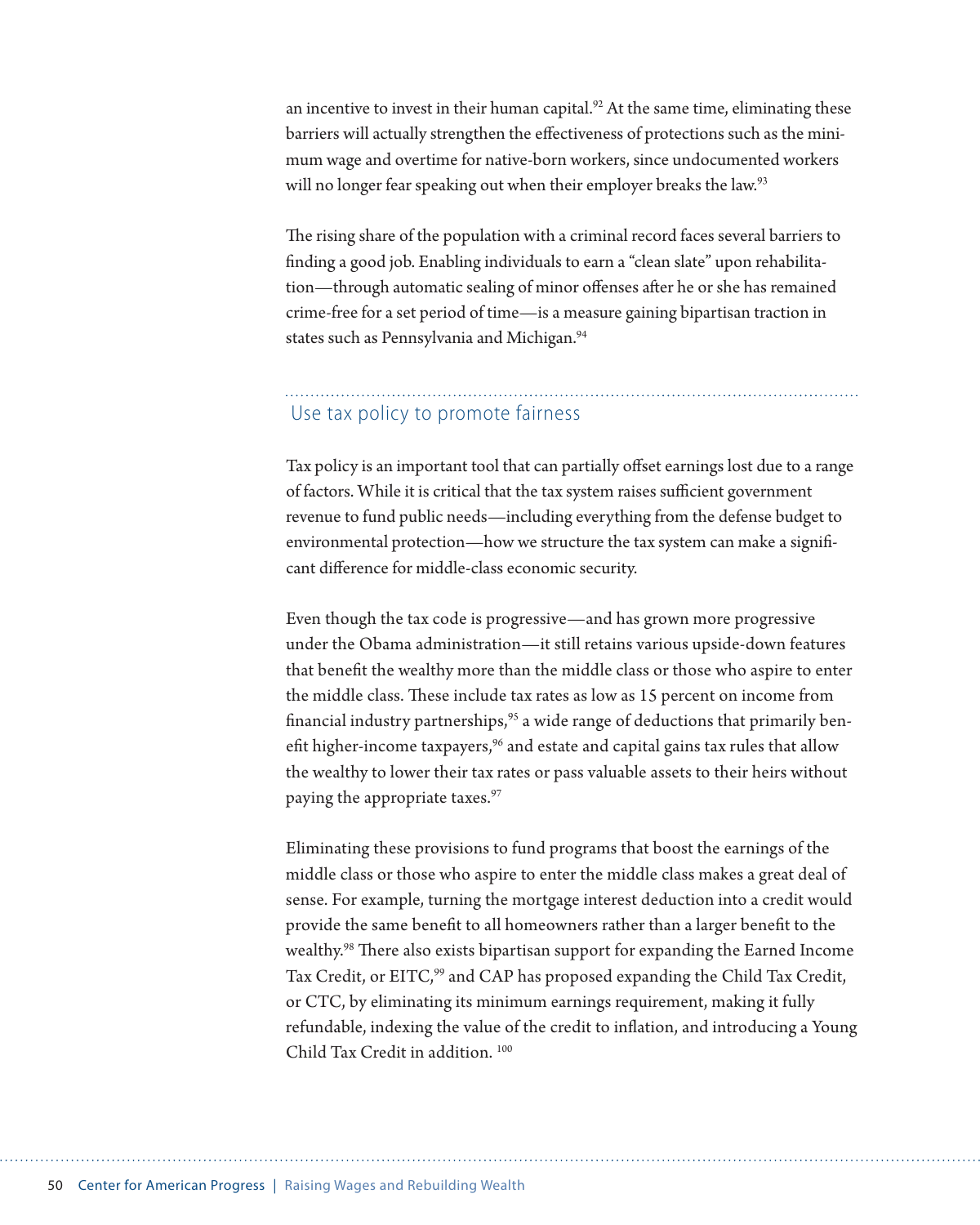an incentive to invest in their human capital. $92$  At the same time, eliminating these barriers will actually strengthen the effectiveness of protections such as the minimum wage and overtime for native-born workers, since undocumented workers will no longer fear speaking out when their employer breaks the law.<sup>93</sup>

The rising share of the population with a criminal record faces several barriers to finding a good job. Enabling individuals to earn a "clean slate" upon rehabilitation—through automatic sealing of minor offenses after he or she has remained crime-free for a set period of time—is a measure gaining bipartisan traction in states such as Pennsylvania and Michigan.<sup>94</sup>

## Use tax policy to promote fairness

Tax policy is an important tool that can partially offset earnings lost due to a range of factors. While it is critical that the tax system raises sufficient government revenue to fund public needs—including everything from the defense budget to environmental protection—how we structure the tax system can make a significant difference for middle-class economic security.

Even though the tax code is progressive—and has grown more progressive under the Obama administration—it still retains various upside-down features that benefit the wealthy more than the middle class or those who aspire to enter the middle class. These include tax rates as low as 15 percent on income from financial industry partnerships,<sup>95</sup> a wide range of deductions that primarily benefit higher-income taxpayers,<sup>96</sup> and estate and capital gains tax rules that allow the wealthy to lower their tax rates or pass valuable assets to their heirs without paying the appropriate taxes.<sup>97</sup>

Eliminating these provisions to fund programs that boost the earnings of the middle class or those who aspire to enter the middle class makes a great deal of sense. For example, turning the mortgage interest deduction into a credit would provide the same benefit to all homeowners rather than a larger benefit to the wealthy.<sup>98</sup> There also exists bipartisan support for expanding the Earned Income Tax Credit, or EITC,<sup>99</sup> and CAP has proposed expanding the Child Tax Credit, or CTC, by eliminating its minimum earnings requirement, making it fully refundable, indexing the value of the credit to inflation, and introducing a Young Child Tax Credit in addition. 100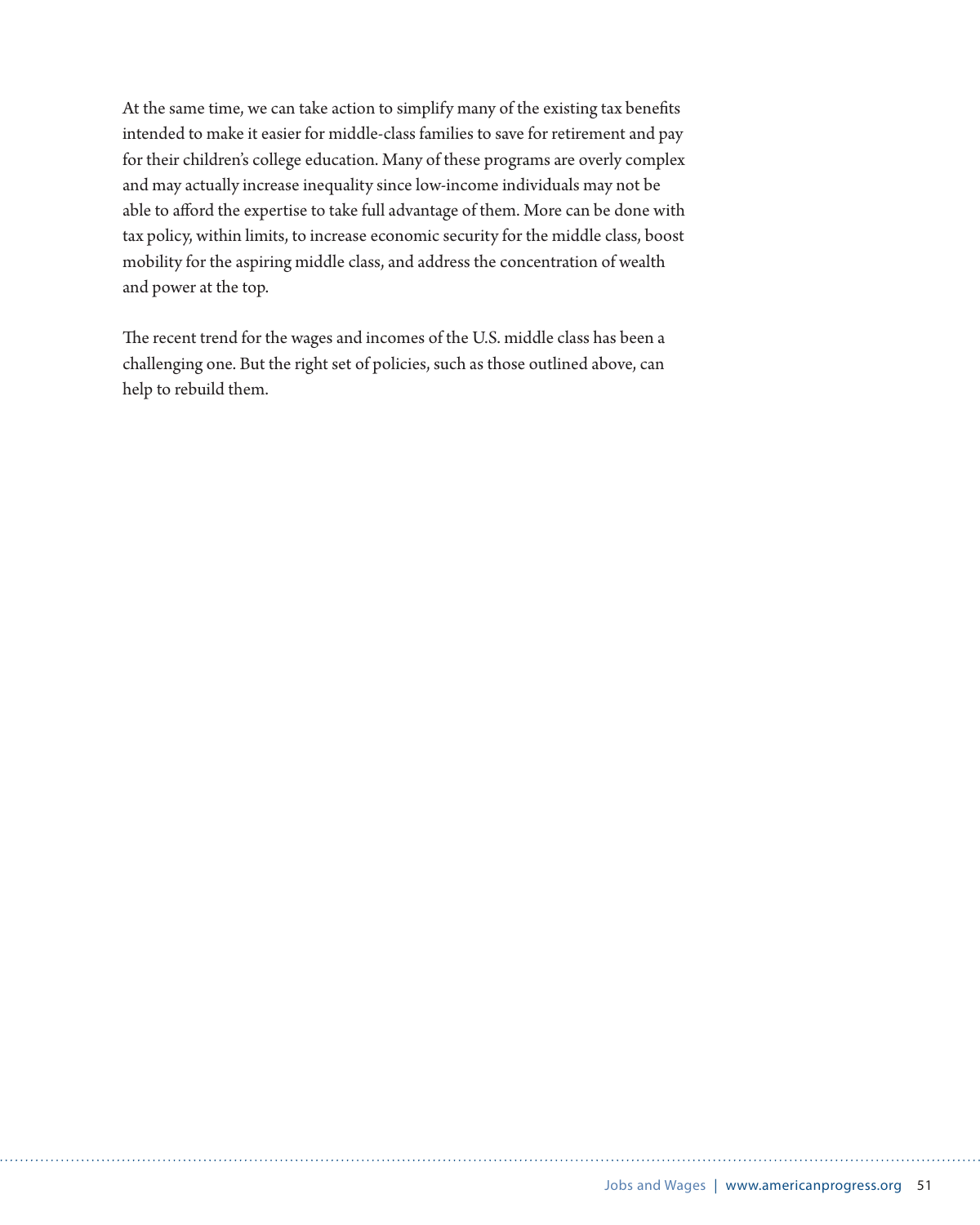At the same time, we can take action to simplify many of the existing tax benefits intended to make it easier for middle-class families to save for retirement and pay for their children's college education. Many of these programs are overly complex and may actually increase inequality since low-income individuals may not be able to afford the expertise to take full advantage of them. More can be done with tax policy, within limits, to increase economic security for the middle class, boost mobility for the aspiring middle class, and address the concentration of wealth and power at the top.

The recent trend for the wages and incomes of the U.S. middle class has been a challenging one. But the right set of policies, such as those outlined above, can help to rebuild them.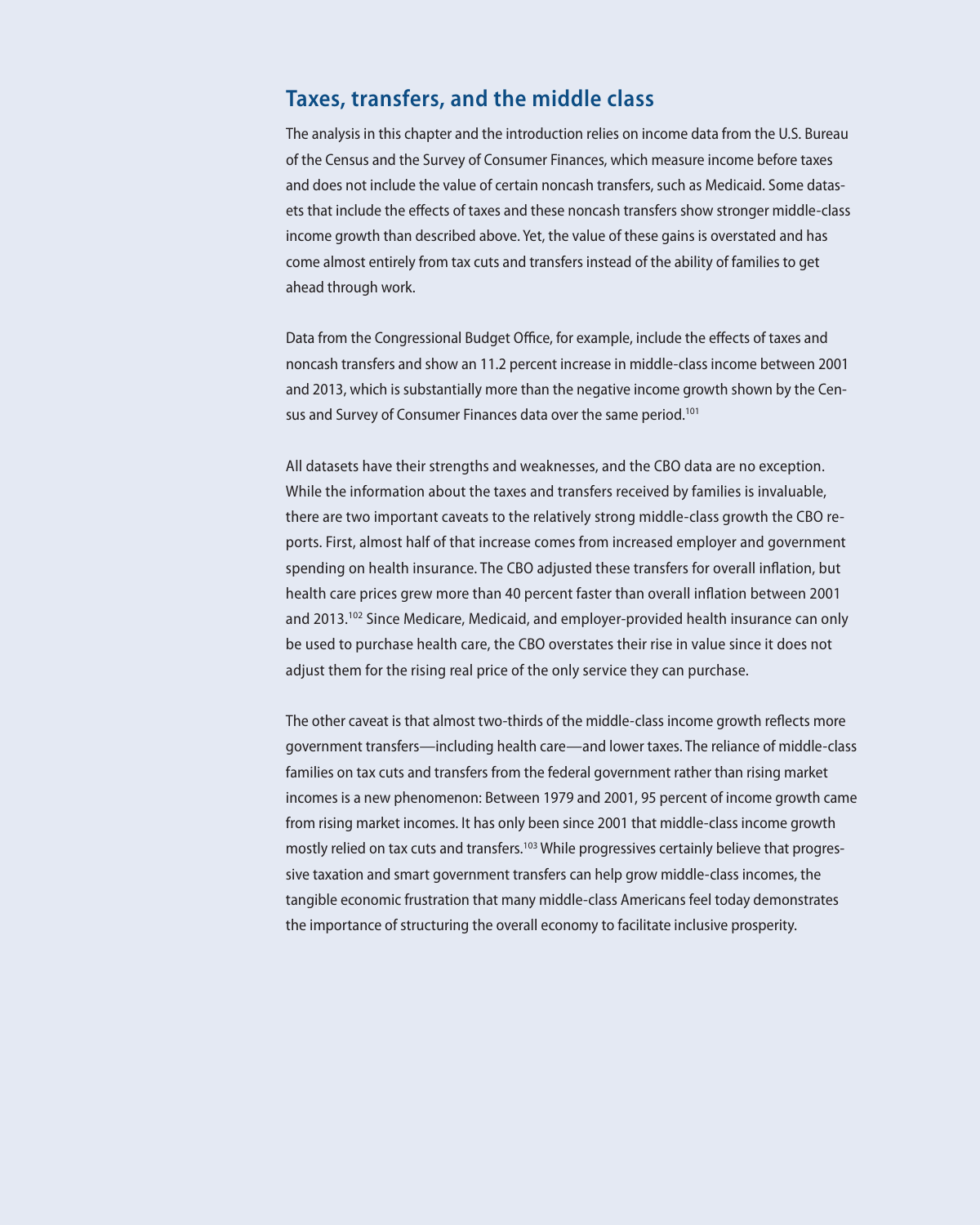## **Taxes, transfers, and the middle class**

The analysis in this chapter and the introduction relies on income data from the U.S. Bureau of the Census and the Survey of Consumer Finances, which measure income before taxes and does not include the value of certain noncash transfers, such as Medicaid. Some datasets that include the effects of taxes and these noncash transfers show stronger middle-class income growth than described above. Yet, the value of these gains is overstated and has come almost entirely from tax cuts and transfers instead of the ability of families to get ahead through work.

Data from the Congressional Budget Office, for example, include the effects of taxes and noncash transfers and show an 11.2 percent increase in middle-class income between 2001 and 2013, which is substantially more than the negative income growth shown by the Census and Survey of Consumer Finances data over the same period.<sup>101</sup>

All datasets have their strengths and weaknesses, and the CBO data are no exception. While the information about the taxes and transfers received by families is invaluable, there are two important caveats to the relatively strong middle-class growth the CBO reports. First, almost half of that increase comes from increased employer and government spending on health insurance. The CBO adjusted these transfers for overall inflation, but health care prices grew more than 40 percent faster than overall inflation between 2001 and 2013.<sup>102</sup> Since Medicare, Medicaid, and employer-provided health insurance can only be used to purchase health care, the CBO overstates their rise in value since it does not adjust them for the rising real price of the only service they can purchase.

The other caveat is that almost two-thirds of the middle-class income growth reflects more government transfers—including health care—and lower taxes. The reliance of middle-class families on tax cuts and transfers from the federal government rather than rising market incomes is a new phenomenon: Between 1979 and 2001, 95 percent of income growth came from rising market incomes. It has only been since 2001 that middle-class income growth mostly relied on tax cuts and transfers.<sup>103</sup> While progressives certainly believe that progressive taxation and smart government transfers can help grow middle-class incomes, the tangible economic frustration that many middle-class Americans feel today demonstrates the importance of structuring the overall economy to facilitate inclusive prosperity.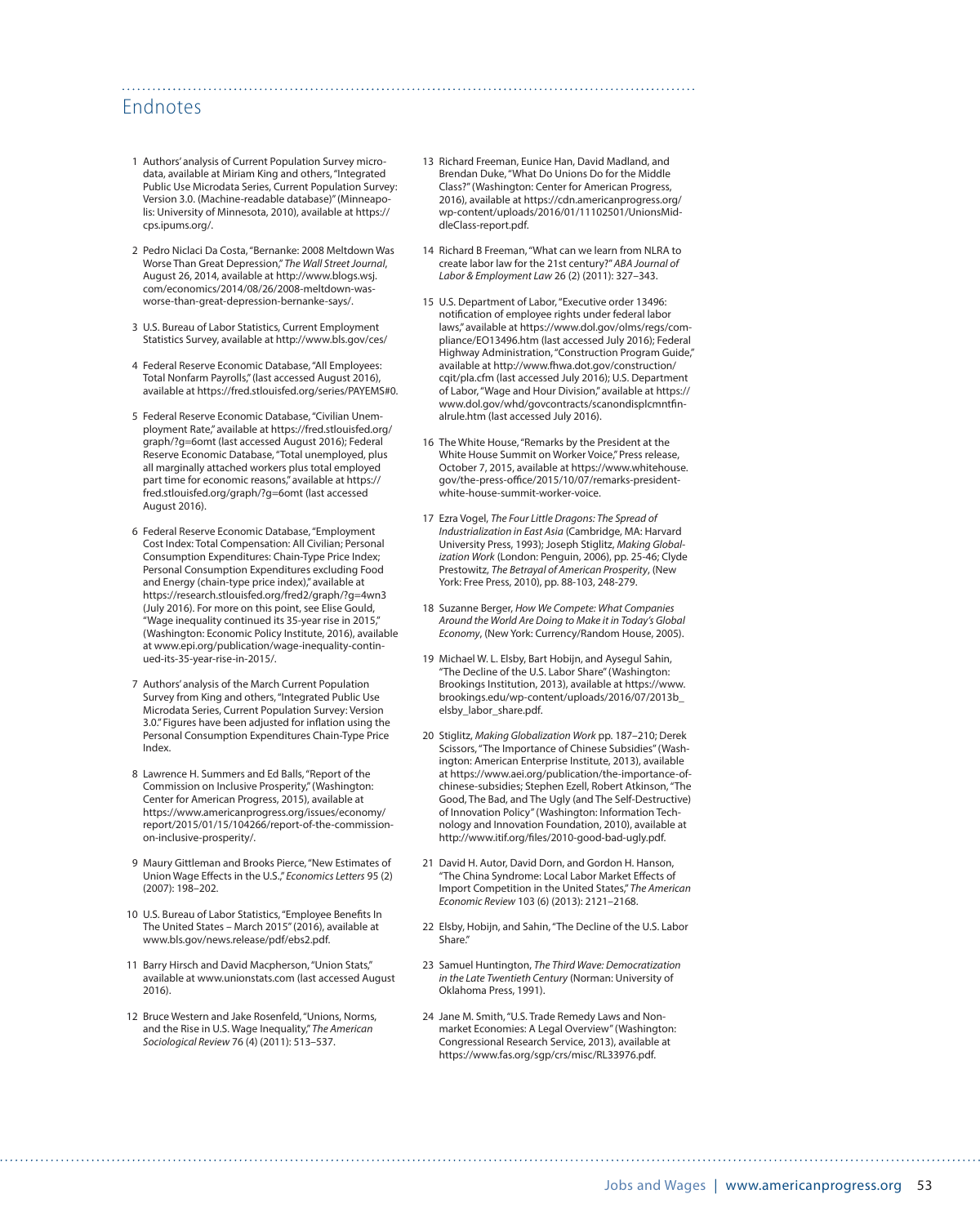## Endnotes

- 1 Authors' analysis of Current Population Survey microdata, available at Miriam King and others, "Integrated Public Use Microdata Series, Current Population Survey: Version 3.0. (Machine-readable database)" (Minneapolis: University of Minnesota, 2010), available at [https://](https://cps.ipums.org/) [cps.ipums.org/](https://cps.ipums.org/).
- 2 Pedro Niclaci Da Costa, "Bernanke: 2008 Meltdown Was Worse Than Great Depression," *The Wall Street Journal*, August 26, 2014, available at http://www.blogs.wsj. com/economics/2014/08/26/2008-meltdown-wasworse-than-great-depression-bernanke-says/.
- 3 U.S. Bureau of Labor Statistics, Current Employment Statistics Survey, available at http://www.bls.gov/ces/
- 4 Federal Reserve Economic Database, "All Employees: Total Nonfarm Payrolls," (last accessed August 2016), available at https://fred.stlouisfed.org/series/PAYEMS#0.
- 5 Federal Reserve Economic Database, "Civilian Unemployment Rate," available at [https://fred.stlouisfed.org/](https://fred.stlouisfed.org/graph/?g=6omt) [graph/?g=6omt](https://fred.stlouisfed.org/graph/?g=6omt) (last accessed August 2016); Federal Reserve Economic Database, "Total unemployed, plus all marginally attached workers plus total employed part time for economic reasons," available at [https://](https://fred.stlouisfed.org/graph/?g=6omt) [fred.stlouisfed.org/graph/?g=6omt](https://fred.stlouisfed.org/graph/?g=6omt) (last accessed August 2016).
- 6 Federal Reserve Economic Database, "Employment Cost Index: Total Compensation: All Civilian; Personal Consumption Expenditures: Chain-Type Price Index; Personal Consumption Expenditures excluding Food and Energy (chain-type price index)," available at <https://research.stlouisfed.org/fred2/graph/?g=4wn3> (July 2016). For more on this point, see Elise Gould, "Wage inequality continued its 35-year rise in 2015," (Washington: Economic Policy Institute, 2016), available at www.epi.org/publication/wage-inequality-continued-its-35-year-rise-in-2015/.
- 7 Authors' analysis of the March Current Population Survey from King and others, "Integrated Public Use Microdata Series, Current Population Survey: Version 3.0." Figures have been adjusted for inflation using the Personal Consumption Expenditures Chain-Type Price Index.
- 8 Lawrence H. Summers and Ed Balls, "Report of the Commission on Inclusive Prosperity," (Washington: Center for American Progress, 2015), available at https://www.americanprogress.org/issues/economy/ report/2015/01/15/104266/report-of-the-commissionon-inclusive-prosperity/.
- 9 Maury Gittleman and Brooks Pierce, "New Estimates of Union Wage Effects in the U.S.," *Economics Letters* 95 (2) (2007): 198–202.
- 10 U.S. Bureau of Labor Statistics, "Employee Benefits In The United States – March 2015" (2016), available at [www.bls.gov/news.release/pdf/ebs2.pdf.](http://www.bls.gov/news.release/pdf/ebs2.pdf)
- 11 Barry Hirsch and David Macpherson, "Union Stats," available at [www.unionstats.com](http://www.unionstats.com) (last accessed August 2016).
- 12 Bruce Western and Jake Rosenfeld, "Unions, Norms, and the Rise in U.S. Wage Inequality," *The American Sociological Review* 76 (4) (2011): 513–537.

13 Richard Freeman, Eunice Han, David Madland, and Brendan Duke, "What Do Unions Do for the Middle Class?" (Washington: Center for American Progress, 2016), available at https://cdn.americanprogress.org/ wp-content/uploads/2016/01/11102501/UnionsMiddleClass-report.pdf.

- 14 Richard B Freeman, "What can we learn from NLRA to create labor law for the 21st century?" *ABA Journal of Labor & Employment Law* 26 (2) (2011): 327–343.
- 15 U.S. Department of Labor, "Executive order 13496: notification of employee rights under federal labor laws," available at [https://www.dol.gov/olms/regs/com](https://www.dol.gov/olms/regs/compliance/EO13496.htm)[pliance/EO13496.htm](https://www.dol.gov/olms/regs/compliance/EO13496.htm) (last accessed July 2016); Federal Highway Administration, "Construction Program Guide," available at [http://www.fhwa.dot.gov/construction/](http://www.fhwa.dot.gov/construction/cqit/pla.cfm) [cqit/pla.cfm](http://www.fhwa.dot.gov/construction/cqit/pla.cfm) (last accessed July 2016); U.S. Department of Labor, "Wage and Hour Division," available at [https://](https://www.dol.gov/whd/govcontracts/scanondisplcmntfinalrule.htm) [www.dol.gov/whd/govcontracts/scanondisplcmntfin](https://www.dol.gov/whd/govcontracts/scanondisplcmntfinalrule.htm)[alrule.htm](https://www.dol.gov/whd/govcontracts/scanondisplcmntfinalrule.htm) (last accessed July 2016).
- 16 The White House, "Remarks by the President at the White House Summit on Worker Voice," Press release, October 7, 2015, available at [https://www.whitehouse.](https://www.whitehouse.gov/the-press-office/2015/10/07/remarks-president-white-house-summit-worker-voice) [gov/the-press-office/2015/10/07/remarks-president](https://www.whitehouse.gov/the-press-office/2015/10/07/remarks-president-white-house-summit-worker-voice)[white-house-summit-worker-voice.](https://www.whitehouse.gov/the-press-office/2015/10/07/remarks-president-white-house-summit-worker-voice)
- 17 Ezra Vogel, *The Four Little Dragons: The Spread of Industrialization in East Asia* (Cambridge, MA: Harvard University Press, 1993); Joseph Stiglitz, *Making Globalization Work* (London: Penguin, 2006), pp. 25-46; Clyde Prestowitz, *The Betrayal of American Prosperity*, (New York: Free Press, 2010), pp. 88-103, 248-279.
- 18 Suzanne Berger, *How We Compete: What Companies Around the World Are Doing to Make it in Today's Global Economy*, (New York: Currency/Random House, 2005).
- 19 Michael W. L. Elsby, Bart Hobijn, and Aysegul Sahin, "The Decline of the U.S. Labor Share" (Washington: Brookings Institution, 2013), available at https://www. brookings.edu/wp-content/uploads/2016/07/2013b\_ elsby\_labor\_share.pdf.
- 20 Stiglitz, *Making Globalization Work* pp. 187–210; Derek Scissors, "The Importance of Chinese Subsidies" (Washington: American Enterprise Institute, 2013), available at [https://www.aei.org/publication/the-importance-of](https://www.aei.org/publication/the-importance-of-chinese-subsidies)[chinese-subsidies;](https://www.aei.org/publication/the-importance-of-chinese-subsidies) Stephen Ezell, Robert Atkinson, "The Good, The Bad, and The Ugly (and The Self-Destructive) of Innovation Policy" (Washington: Information Technology and Innovation Foundation, 2010), available at http://www.itif.org/files/2010-good-bad-ugly.pdf.
- 21 David H. Autor, David Dorn, and Gordon H. Hanson, "The China Syndrome: Local Labor Market Effects of Import Competition in the United States," *The American Economic Review* 103 (6) (2013): 2121–2168.
- 22 Elsby, Hobijn, and Sahin, "The Decline of the U.S. Labor Share."
- 23 Samuel Huntington, *The Third Wave: Democratization in the Late Twentieth Century* (Norman: University of Oklahoma Press, 1991).
- 24 Jane M. Smith, "U.S. Trade Remedy Laws and Nonmarket Economies: A Legal Overview" (Washington: Congressional Research Service, 2013), available at https://www.fas.org/sgp/crs/misc/RL33976.pdf.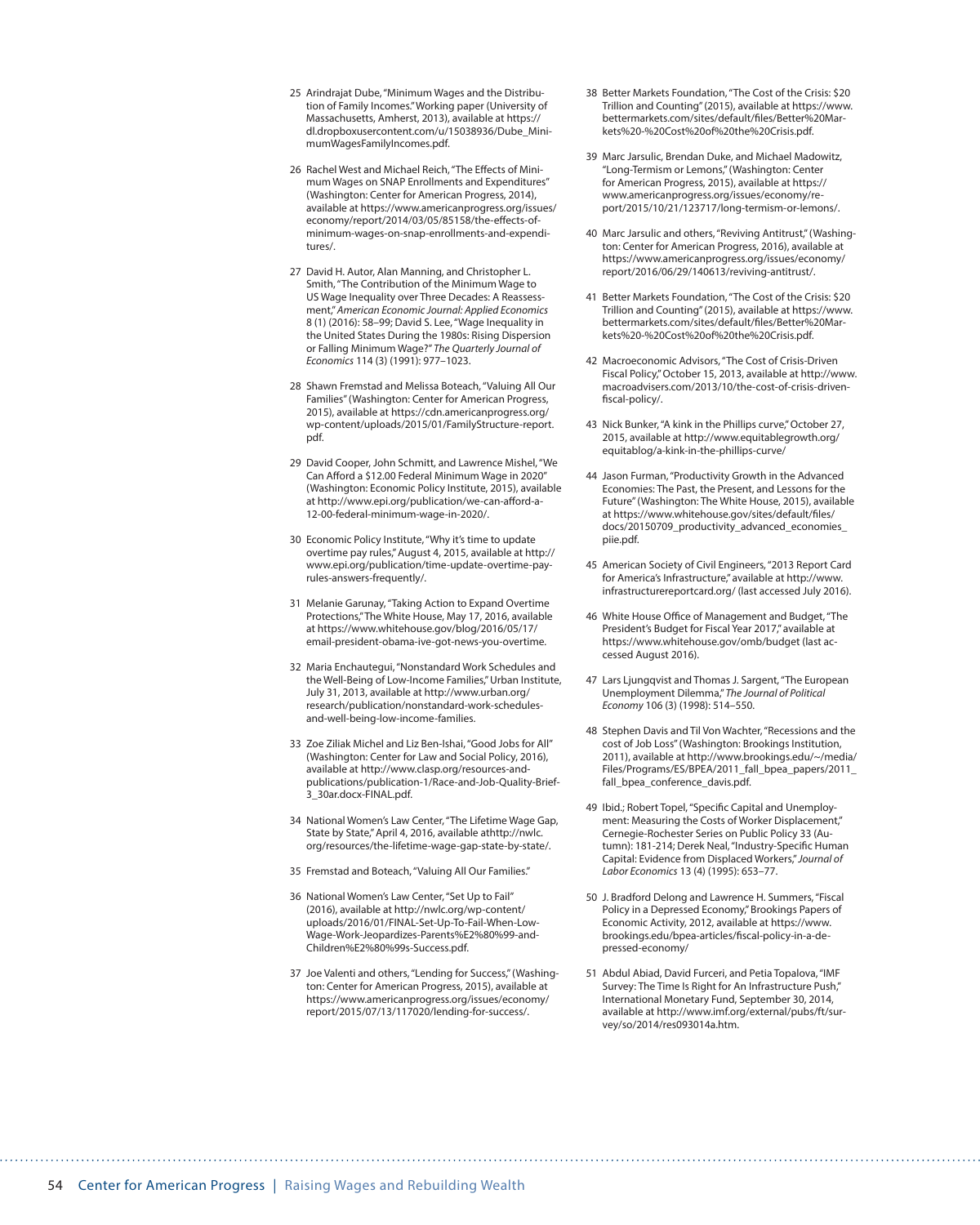- 25 Arindrajat Dube, "Minimum Wages and the Distribution of Family Incomes." Working paper (University of Massachusetts, Amherst, 2013), available at [https://](https://dl.dropboxusercontent.com/u/15038936/Dube_MinimumWagesFamilyIncomes.pdf) [dl.dropboxusercontent.com/u/15038936/Dube\\_Mini](https://dl.dropboxusercontent.com/u/15038936/Dube_MinimumWagesFamilyIncomes.pdf)[mumWagesFamilyIncomes.pdf](https://dl.dropboxusercontent.com/u/15038936/Dube_MinimumWagesFamilyIncomes.pdf).
- 26 Rachel West and Michael Reich, "The Effects of Minimum Wages on SNAP Enrollments and Expenditures" (Washington: Center for American Progress, 2014), available at https://www.americanprogress.org/issues/ economy/report/2014/03/05/85158/the-effects-ofminimum-wages-on-snap-enrollments-and-expenditures/.
- 27 David H. Autor, Alan Manning, and Christopher L. Smith, "The Contribution of the Minimum Wage to US Wage Inequality over Three Decades: A Reassessment," *American Economic Journal: Applied Economics* 8 (1) (2016): 58–99; David S. Lee, "Wage Inequality in the United States During the 1980s: Rising Dispersion or Falling Minimum Wage?" *The Quarterly Journal of Economics* 114 (3) (1991): 977–1023.
- 28 Shawn Fremstad and Melissa Boteach, "Valuing All Our Families" (Washington: Center for American Progress, 2015), available at [https://cdn.americanprogress.org/](https://cdn.americanprogress.org/wp-content/uploads/2015/01/FamilyStructure-report.pdf) [wp-content/uploads/2015/01/FamilyStructure-report.](https://cdn.americanprogress.org/wp-content/uploads/2015/01/FamilyStructure-report.pdf) [pdf](https://cdn.americanprogress.org/wp-content/uploads/2015/01/FamilyStructure-report.pdf).
- 29 David Cooper, John Schmitt, and Lawrence Mishel, "We Can Afford a \$12.00 Federal Minimum Wage in 2020" (Washington: Economic Policy Institute, 2015), available at http://www.epi.org/publication/we-can-afford-a-12-00-federal-minimum-wage-in-2020/.
- 30 Economic Policy Institute, "Why it's time to update overtime pay rules," August 4, 2015, available at http:// www.epi.org/publication/time-update-overtime-payrules-answers-frequently/.
- 31 Melanie Garunay, "Taking Action to Expand Overtime Protections," The White House, May 17, 2016, available at https://www.whitehouse.gov/blog/2016/05/17/ email-president-obama-ive-got-news-you-overtime.
- 32 Maria Enchautegui, "Nonstandard Work Schedules and the Well-Being of Low-Income Families," Urban Institute, July 31, 2013, available at http://www.urban.org/ research/publication/nonstandard-work-schedulesand-well-being-low-income-families.
- 33 Zoe Ziliak Michel and Liz Ben-Ishai, "Good Jobs for All" (Washington: Center for Law and Social Policy, 2016), available at http://www.clasp.org/resources-andpublications/publication-1/Race-and-Job-Quality-Brief-3\_30ar.docx-FINAL.pdf.
- 34 National Women's Law Center, "The Lifetime Wage Gap, State by State," April 4, 2016, available athttp://nwlc. org/resources/the-lifetime-wage-gap-state-by-state/.
- 35 Fremstad and Boteach, "Valuing All Our Families."
- 36 National Women's Law Center, "Set Up to Fail" (2016), available at http://nwlc.org/wp-content/ uploads/2016/01/FINAL-Set-Up-To-Fail-When-Low-Wage-Work-Jeopardizes-Parents%E2%80%99-and-Children%E2%80%99s-Success.pdf.
- 37 Joe Valenti and others, "Lending for Success," (Washington: Center for American Progress, 2015), available at https://www.americanprogress.org/issues/economy/ report/2015/07/13/117020/lending-for-success/.
- 38 Better Markets Foundation, "The Cost of the Crisis: \$20 Trillion and Counting" (2015), available at https://www. bettermarkets.com/sites/default/files/Better%20Markets%20-%20Cost%20of%20the%20Crisis.pdf.
- 39 Marc Jarsulic, Brendan Duke, and Michael Madowitz, "Long-Termism or Lemons," (Washington: Center for American Progress, 2015), available at https:// www.americanprogress.org/issues/economy/report/2015/10/21/123717/long-termism-or-lemons/.
- 40 Marc Jarsulic and others, "Reviving Antitrust," (Washington: Center for American Progress, 2016), available at https://www.americanprogress.org/issues/economy/ report/2016/06/29/140613/reviving-antitrust/.
- 41 Better Markets Foundation, "The Cost of the Crisis: \$20 Trillion and Counting" (2015), available at https://www. bettermarkets.com/sites/default/files/Better%20Markets%20-%20Cost%20of%20the%20Crisis.pdf.
- 42 Macroeconomic Advisors, "The Cost of Crisis-Driven Fiscal Policy," October 15, 2013, available at http://www. macroadvisers.com/2013/10/the-cost-of-crisis-drivenfiscal-policy/.
- 43 Nick Bunker, "A kink in the Phillips curve," October 27, 2015, available at http://www.equitablegrowth.org/ equitablog/a-kink-in-the-phillips-curve/
- 44 Jason Furman, "Productivity Growth in the Advanced Economies: The Past, the Present, and Lessons for the Future" (Washington: The White House, 2015), available at https://www.whitehouse.gov/sites/default/files/ docs/20150709\_productivity\_advanced\_economies\_ piie.pdf.
- 45 American Society of Civil Engineers, "2013 Report Card for America's Infrastructure," available at [http://www.](http://www.infrastructurereportcard.org/) [infrastructurereportcard.org/](http://www.infrastructurereportcard.org/) (last accessed July 2016).
- 46 White House Office of Management and Budget, "The President's Budget for Fiscal Year 2017," available at <https://www.whitehouse.gov/omb/budget> (last accessed August 2016).
- 47 Lars Ljungqvist and Thomas J. Sargent, "The European Unemployment Dilemma," *The Journal of Political Economy* 106 (3) (1998): 514–550.
- 48 Stephen Davis and Til Von Wachter, "Recessions and the cost of Job Loss" (Washington: Brookings Institution, 2011), available at http://www.brookings.edu/~/media/ Files/Programs/ES/BPEA/2011\_fall\_bpea\_papers/2011\_ fall\_bpea\_conference\_davis.pdf.
- 49 Ibid.; Robert Topel, "Specific Capital and Unemployment: Measuring the Costs of Worker Displacement," Cernegie-Rochester Series on Public Policy 33 (Autumn): 181-214; Derek Neal, "Industry-Specific Human Capital: Evidence from Displaced Workers," *Journal of Labor Economics* 13 (4) (1995): 653–77.
- 50 J. Bradford Delong and Lawrence H. Summers, "Fiscal Policy in a Depressed Economy," Brookings Papers of Economic Activity, 2012, available at https://www. brookings.edu/bpea-articles/fiscal-policy-in-a-depressed-economy/
- 51 Abdul Abiad, David Furceri, and Petia Topalova, "IMF Survey: The Time Is Right for An Infrastructure Push," International Monetary Fund, September 30, 2014, available at http://www.imf.org/external/pubs/ft/survey/so/2014/res093014a.htm.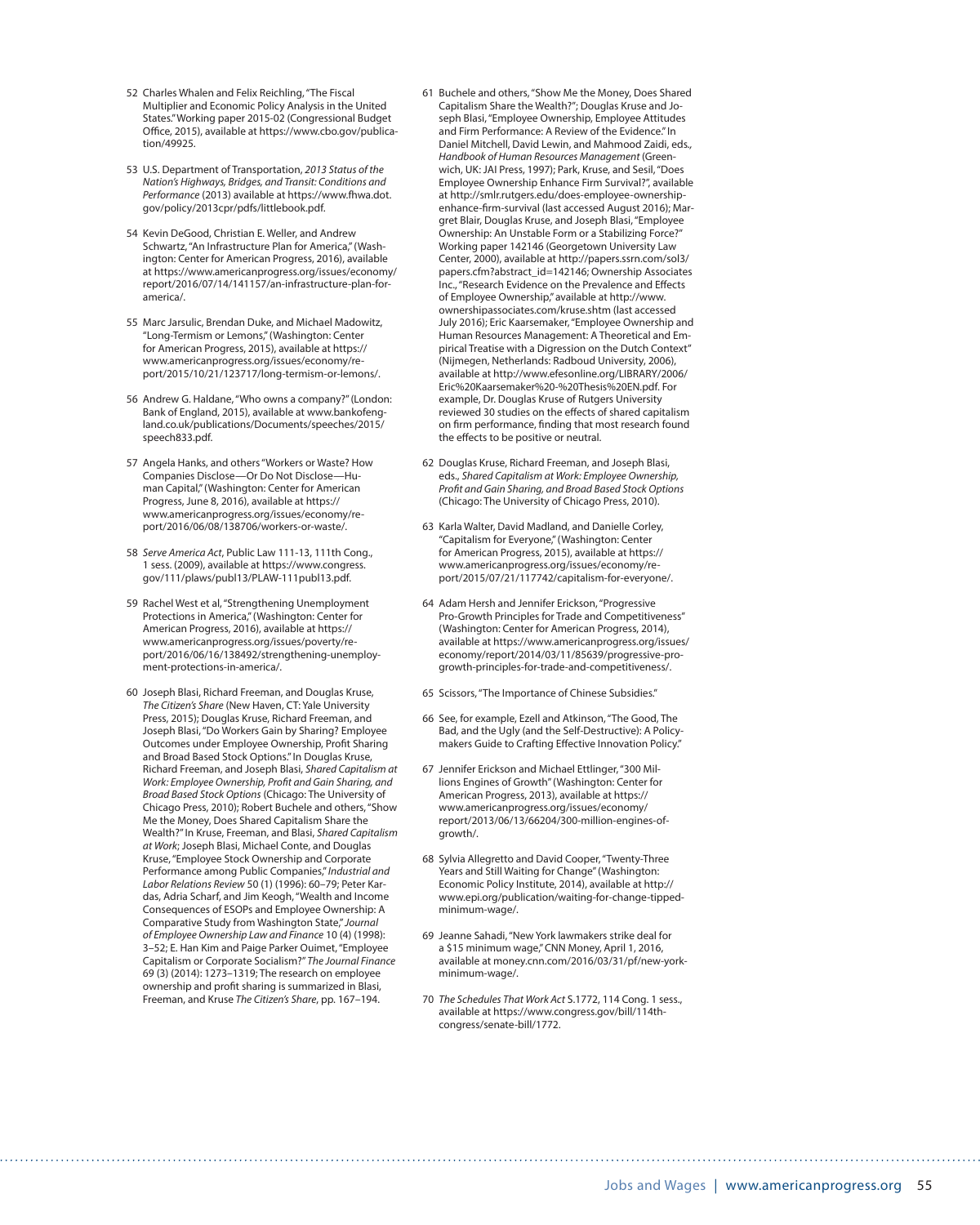- 52 Charles Whalen and Felix Reichling, "The Fiscal Multiplier and Economic Policy Analysis in the United States." Working paper 2015-02 (Congressional Budget Office, 2015), available at [https://www.cbo.gov/publica](https://www.cbo.gov/publication/49925)[tion/49925.](https://www.cbo.gov/publication/49925)
- 53 U.S. Department of Transportation, *2013 Status of the Nation's Highways, Bridges, and Transit: Conditions and Performance* (2013) available at [https://www.fhwa.dot.](https://www.fhwa.dot.gov/policy/2013cpr/pdfs/littlebook.pdf) [gov/policy/2013cpr/pdfs/littlebook.pdf.](https://www.fhwa.dot.gov/policy/2013cpr/pdfs/littlebook.pdf)
- 54 Kevin DeGood, Christian E. Weller, and Andrew Schwartz, "An Infrastructure Plan for America," (Washington: Center for American Progress, 2016), available at https://www.americanprogress.org/issues/economy/ report/2016/07/14/141157/an-infrastructure-plan-foramerica/.
- 55 Marc Jarsulic, Brendan Duke, and Michael Madowitz, "Long-Termism or Lemons," (Washington: Center for American Progress, 2015), available at https:// www.americanprogress.org/issues/economy/report/2015/10/21/123717/long-termism-or-lemons/.
- 56 Andrew G. Haldane, "Who owns a company?" (London: Bank of England, 2015), available at www.bankofengland.co.uk/publications/Documents/speeches/2015/ speech833.pdf.
- 57 Angela Hanks, and others "Workers or Waste? How Companies Disclose—Or Do Not Disclose—Human Capital," (Washington: Center for American Progress, June 8, 2016), available at https:// www.americanprogress.org/issues/economy/report/2016/06/08/138706/workers-or-waste/.
- 58 *Serve America Act*, Public Law 111-13, 111th Cong., 1 sess. (2009), available at https://www.congress. gov/111/plaws/publ13/PLAW-111publ13.pdf.
- 59 Rachel West et al, "Strengthening Unemployment Protections in America," (Washington: Center for American Progress, 2016), available at https:// www.americanprogress.org/issues/poverty/report/2016/06/16/138492/strengthening-unemployment-protections-in-america/.
- 60 Joseph Blasi, Richard Freeman, and Douglas Kruse, *The Citizen's Share* (New Haven, CT: Yale University Press, 2015); Douglas Kruse, Richard Freeman, and Joseph Blasi, "Do Workers Gain by Sharing? Employee Outcomes under Employee Ownership, Profit Sharing and Broad Based Stock Options." In Douglas Kruse, Richard Freeman, and Joseph Blasi, *Shared Capitalism at Work: Employee Ownership, Profit and Gain Sharing, and Broad Based Stock Options* (Chicago: The University of Chicago Press, 2010); Robert Buchele and others, "Show Me the Money, Does Shared Capitalism Share the Wealth?" In Kruse, Freeman, and Blasi, *Shared Capitalism at Work*; Joseph Blasi, Michael Conte, and Douglas Kruse, "Employee Stock Ownership and Corporate Performance among Public Companies," *Industrial and Labor Relations Review* 50 (1) (1996): 60–79; Peter Kardas, Adria Scharf, and Jim Keogh, "Wealth and Income Consequences of ESOPs and Employee Ownership: A Comparative Study from Washington State," *Journal of Employee Ownership Law and Finance* 10 (4) (1998): 3–52; E. Han Kim and Paige Parker Ouimet, "Employee Capitalism or Corporate Socialism?" *The Journal Finance*  69 (3) (2014): 1273–1319; The research on employee ownership and profit sharing is summarized in Blasi, Freeman, and Kruse *The Citizen's Share*, pp. 167–194.
- 61 Buchele and others, "Show Me the Money, Does Shared Capitalism Share the Wealth?"; Douglas Kruse and Joseph Blasi, "Employee Ownership, Employee Attitudes and Firm Performance: A Review of the Evidence." In Daniel Mitchell, David Lewin, and Mahmood Zaidi, eds*., Handbook of Human Resources Management* (Greenwich, UK: JAI Press, 1997); Park, Kruse, and Sesil, "Does Employee Ownership Enhance Firm Survival?", available at [http://smlr.rutgers.edu/does-employee-ownership](http://smlr.rutgers.edu/does-employee-ownership-enhance-firm-survival)[enhance-firm-survival](http://smlr.rutgers.edu/does-employee-ownership-enhance-firm-survival) (last accessed August 2016); Margret Blair, Douglas Kruse, and Joseph Blasi, "Employee Ownership: An Unstable Form or a Stabilizing Force?" Working paper 142146 (Georgetown University Law Center, 2000), available at http://papers.ssrn.com/sol3/ papers.cfm?abstract\_id=142146; Ownership Associates Inc., "Research Evidence on the Prevalence and Effects of Employee Ownership," available at [http://www.](http://www.ownershipassociates.com/kruse.shtm) [ownershipassociates.com/kruse.shtm](http://www.ownershipassociates.com/kruse.shtm) (last accessed July 2016); Eric Kaarsemaker, "Employee Ownership and Human Resources Management: A Theoretical and Empirical Treatise with a Digression on the Dutch Context" (Nijmegen, Netherlands: Radboud University, 2006), available at http://www.efesonline.org/LIBRARY/2006/ Eric%20Kaarsemaker%20-%20Thesis%20EN.pdf. For example, Dr. Douglas Kruse of Rutgers University reviewed 30 studies on the effects of shared capitalism on firm performance, finding that most research found the effects to be positive or neutral.
- 62 Douglas Kruse, Richard Freeman, and Joseph Blasi, eds., *Shared Capitalism at Work: Employee Ownership, Profit and Gain Sharing, and Broad Based Stock Options* (Chicago: The University of Chicago Press, 2010).
- 63 Karla Walter, David Madland, and Danielle Corley, "Capitalism for Everyone," (Washington: Center for American Progress, 2015), available at https:// www.americanprogress.org/issues/economy/report/2015/07/21/117742/capitalism-for-everyone/.
- 64 Adam Hersh and Jennifer Erickson, "Progressive Pro-Growth Principles for Trade and Competitiveness" (Washington: Center for American Progress, 2014), available at [https://www.americanprogress.org/issues/](https://www.americanprogress.org/issues/economy/report/2014/03/11/85639/progressive-pro-growth-principles-for-trade-and-competitiveness/) [economy/report/2014/03/11/85639/progressive-pro](https://www.americanprogress.org/issues/economy/report/2014/03/11/85639/progressive-pro-growth-principles-for-trade-and-competitiveness/)[growth-principles-for-trade-and-competitiveness/](https://www.americanprogress.org/issues/economy/report/2014/03/11/85639/progressive-pro-growth-principles-for-trade-and-competitiveness/).
- 65 Scissors, "The Importance of Chinese Subsidies."
- 66 See, for example, Ezell and Atkinson, "The Good, The Bad, and the Ugly (and the Self-Destructive): A Policymakers Guide to Crafting Effective Innovation Policy."
- 67 Jennifer Erickson and Michael Ettlinger, "300 Millions Engines of Growth" (Washington: Center for American Progress, 2013), available at https:// www.americanprogress.org/issues/economy/ report/2013/06/13/66204/300-million-engines-ofgrowth/.
- 68 Sylvia Allegretto and David Cooper, "Twenty-Three Years and Still Waiting for Change" (Washington: Economic Policy Institute, 2014), available at http:// www.epi.org/publication/waiting-for-change-tippedminimum-wage/.
- 69 Jeanne Sahadi, "New York lawmakers strike deal for a \$15 minimum wage," CNN Money, April 1, 2016, available at money.cnn.com/2016/03/31/pf/new-yorkminimum-wage/.
- 70 *The Schedules That Work Act* S.1772, 114 Cong. 1 sess., available at https://www.congress.gov/bill/114thcongress/senate-bill/1772.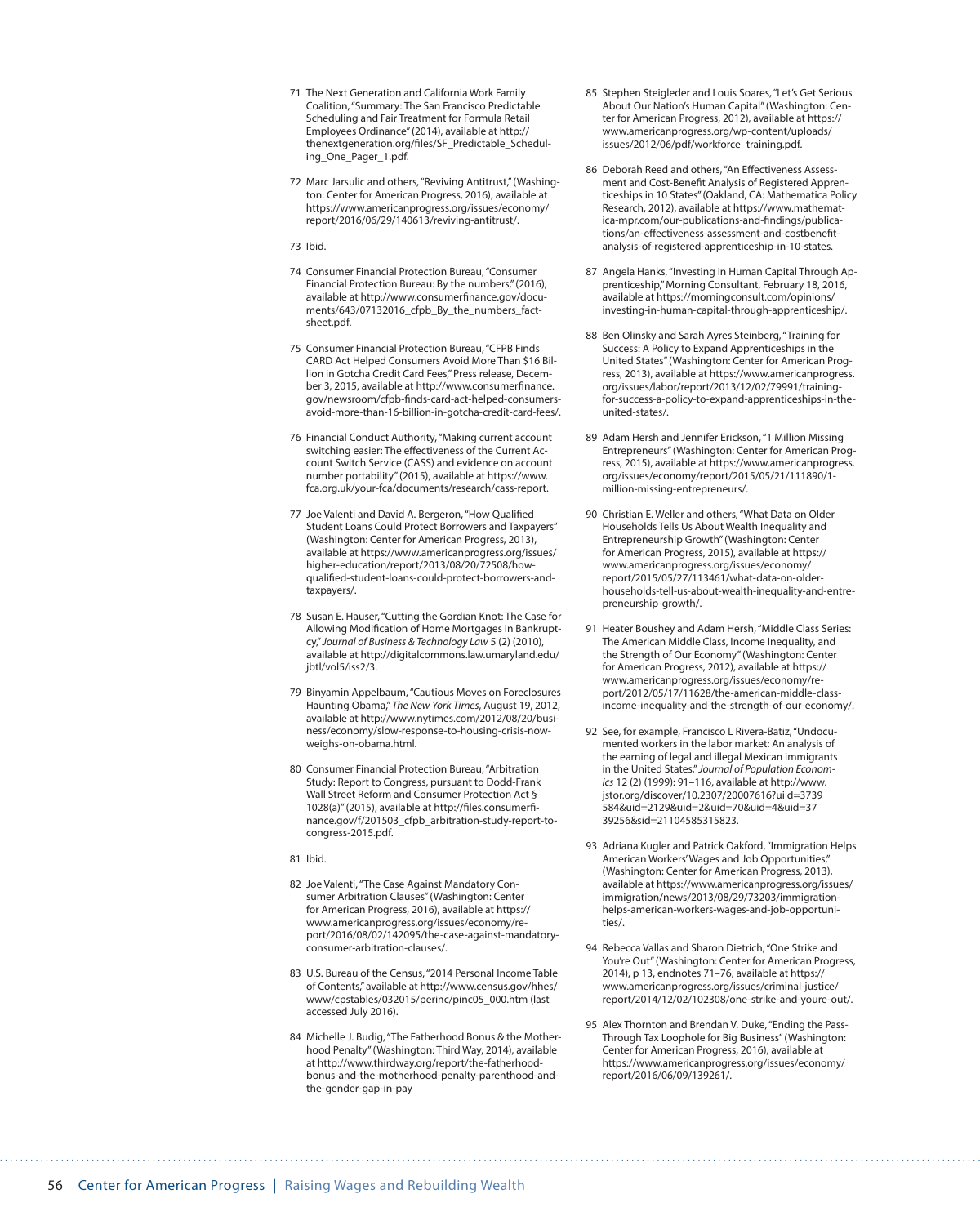- 71 The Next Generation and California Work Family Coalition, "Summary: The San Francisco Predictable Scheduling and Fair Treatment for Formula Retail Employees Ordinance" (2014), available at http:// thenextgeneration.org/files/SF\_Predictable\_Scheduling\_One\_Pager\_1.pdf.
- 72 Marc Jarsulic and others, "Reviving Antitrust," (Washington: Center for American Progress, 2016), available at https://www.americanprogress.org/issues/economy/ report/2016/06/29/140613/reviving-antitrust/.

#### 73 Ibid.

- 74 Consumer Financial Protection Bureau, "Consumer Financial Protection Bureau: By the numbers," (2016), available at [http://www.consumerfinance.gov/docu](http://www.consumerfinance.gov/documents/643/07132016_cfpb_By_the_numbers_factsheet.pdf)[ments/643/07132016\\_cfpb\\_By\\_the\\_numbers\\_fact](http://www.consumerfinance.gov/documents/643/07132016_cfpb_By_the_numbers_factsheet.pdf)[sheet.pdf](http://www.consumerfinance.gov/documents/643/07132016_cfpb_By_the_numbers_factsheet.pdf).
- 75 Consumer Financial Protection Bureau, "CFPB Finds CARD Act Helped Consumers Avoid More Than \$16 Billion in Gotcha Credit Card Fees," Press release, December 3, 2015, available at [http://www.consumerfinance.](http://www.consumerfinance.gov/newsroom/cfpb-finds-card-act-helped-consumers-avoid-more-than-16-billion-in-gotcha-credit-card-fees/) [gov/newsroom/cfpb-finds-card-act-helped-consumers](http://www.consumerfinance.gov/newsroom/cfpb-finds-card-act-helped-consumers-avoid-more-than-16-billion-in-gotcha-credit-card-fees/)[avoid-more-than-16-billion-in-gotcha-credit-card-fees/](http://www.consumerfinance.gov/newsroom/cfpb-finds-card-act-helped-consumers-avoid-more-than-16-billion-in-gotcha-credit-card-fees/).
- 76 Financial Conduct Authority, "Making current account switching easier: The effectiveness of the Current Account Switch Service (CASS) and evidence on account number portability" (2015), available at [https://www.](https://www.fca.org.uk/your-fca/documents/research/cass-report) [fca.org.uk/your-fca/documents/research/cass-report](https://www.fca.org.uk/your-fca/documents/research/cass-report).
- 77 Joe Valenti and David A. Bergeron, "How Qualified Student Loans Could Protect Borrowers and Taxpayers" (Washington: Center for American Progress, 2013), available at [https://www.americanprogress.org/issues/](https://www.americanprogress.org/issues/higher-education/report/2013/08/20/72508/how-qualified-student-loans-could-protect-borrowers-and-taxpayers/) [higher-education/report/2013/08/20/72508/how](https://www.americanprogress.org/issues/higher-education/report/2013/08/20/72508/how-qualified-student-loans-could-protect-borrowers-and-taxpayers/)[qualified-student-loans-could-protect-borrowers-and](https://www.americanprogress.org/issues/higher-education/report/2013/08/20/72508/how-qualified-student-loans-could-protect-borrowers-and-taxpayers/)[taxpayers/](https://www.americanprogress.org/issues/higher-education/report/2013/08/20/72508/how-qualified-student-loans-could-protect-borrowers-and-taxpayers/).
- 78 Susan E. Hauser, "Cutting the Gordian Knot: The Case for Allowing Modification of Home Mortgages in Bankruptcy," *Journal of Business & Technology Law* 5 (2) (2010), available at [http://digitalcommons.law.umaryland.edu/](http://digitalcommons.law.umaryland.edu/jbtl/vol5/iss2/3) ibtl/vol5/iss2/3.
- 79 Binyamin Appelbaum, "Cautious Moves on Foreclosures Haunting Obama," *The New York Times*, August 19, 2012, available at [http://www.nytimes.com/2012/08/20/busi](http://www.nytimes.com/2012/08/20/business/economy/slow-response-to-housing-crisis-now-weighs-on-obama.html)[ness/economy/slow-response-to-housing-crisis-now](http://www.nytimes.com/2012/08/20/business/economy/slow-response-to-housing-crisis-now-weighs-on-obama.html)[weighs-on-obama.html.](http://www.nytimes.com/2012/08/20/business/economy/slow-response-to-housing-crisis-now-weighs-on-obama.html)
- 80 Consumer Financial Protection Bureau, "Arbitration Study: Report to Congress, pursuant to Dodd-Frank Wall Street Reform and Consumer Protection Act § 1028(a)" (2015), available at [http://files.consumerfi](http://files.consumerfinance.gov/f/201503_cfpb_arbitration-study-report-to-congress-2015.pdf)[nance.gov/f/201503\\_cfpb\\_arbitration-study-report-to](http://files.consumerfinance.gov/f/201503_cfpb_arbitration-study-report-to-congress-2015.pdf)[congress-2015.pdf.](http://files.consumerfinance.gov/f/201503_cfpb_arbitration-study-report-to-congress-2015.pdf)

#### 81 Ibid.

- 82 Joe Valenti, "The Case Against Mandatory Consumer Arbitration Clauses" (Washington: Center for American Progress, 2016), available at [https://](https://www.americanprogress.org/issues/economy/report/2016/08/02/142095/the-case-against-mandatory-consumer-arbitration-clauses/) [www.americanprogress.org/issues/economy/re](https://www.americanprogress.org/issues/economy/report/2016/08/02/142095/the-case-against-mandatory-consumer-arbitration-clauses/)[port/2016/08/02/142095/the-case-against-mandatory](https://www.americanprogress.org/issues/economy/report/2016/08/02/142095/the-case-against-mandatory-consumer-arbitration-clauses/)[consumer-arbitration-clauses/.](https://www.americanprogress.org/issues/economy/report/2016/08/02/142095/the-case-against-mandatory-consumer-arbitration-clauses/)
- 83 U.S. Bureau of the Census, "2014 Personal Income Table of Contents," available at http://www.census.gov/hhes/ www/cpstables/032015/perinc/pinc05\_000.htm (last accessed July 2016).
- 84 Michelle J. Budig, "The Fatherhood Bonus & the Motherhood Penalty" (Washington: Third Way, 2014), available at http://www.thirdway.org/report/the-fatherhoodbonus-and-the-motherhood-penalty-parenthood-andthe-gender-gap-in-pay
- 85 Stephen Steigleder and Louis Soares, "Let's Get Serious About Our Nation's Human Capital" (Washington: Center for American Progress, 2012), available at https:// www.americanprogress.org/wp-content/uploads/ issues/2012/06/pdf/workforce\_training.pdf.
- 86 Deborah Reed and others, "An Effectiveness Assessment and Cost-Benefit Analysis of Registered Apprenticeships in 10 States" (Oakland, CA: Mathematica Policy Research, 2012), available at https://www.mathematica-mpr.com/our-publications-and-findings/publications/an-effectiveness-assessment-and-costbenefitanalysis-of-registered-apprenticeship-in-10-states.
- 87 Angela Hanks, "Investing in Human Capital Through Apprenticeship," Morning Consultant, February 18, 2016, available at https://morningconsult.com/opinions/ investing-in-human-capital-through-apprenticeship/.
- 88 Ben Olinsky and Sarah Ayres Steinberg, "Training for Success: A Policy to Expand Apprenticeships in the United States" (Washington: Center for American Progress, 2013), available at [https://www.americanprogress.](https://www.americanprogress.org/issues/labor/report/2013/12/02/79991/training-for-success-a-policy-to-expand-apprenticeships-in-the-united-states/) [org/issues/labor/report/2013/12/02/79991/training](https://www.americanprogress.org/issues/labor/report/2013/12/02/79991/training-for-success-a-policy-to-expand-apprenticeships-in-the-united-states/)[for-success-a-policy-to-expand-apprenticeships-in-the](https://www.americanprogress.org/issues/labor/report/2013/12/02/79991/training-for-success-a-policy-to-expand-apprenticeships-in-the-united-states/)[united-states/.](https://www.americanprogress.org/issues/labor/report/2013/12/02/79991/training-for-success-a-policy-to-expand-apprenticeships-in-the-united-states/)
- 89 Adam Hersh and Jennifer Erickson, "1 Million Missing Entrepreneurs" (Washington: Center for American Progress, 2015), available at https://www.americanprogress. org/issues/economy/report/2015/05/21/111890/1 million-missing-entrepreneurs/.
- 90 Christian E. Weller and others, "What Data on Older Households Tells Us About Wealth Inequality and Entrepreneurship Growth" (Washington: Center for American Progress, 2015), available at https:// www.americanprogress.org/issues/economy/ report/2015/05/27/113461/what-data-on-olderhouseholds-tell-us-about-wealth-inequality-and-entrepreneurship-growth/.
- 91 Heater Boushey and Adam Hersh, "Middle Class Series: The American Middle Class, Income Inequality, and the Strength of Our Economy" (Washington: Center for American Progress, 2012), available at https:// www.americanprogress.org/issues/economy/report/2012/05/17/11628/the-american-middle-classincome-inequality-and-the-strength-of-our-economy/.
- 92 See, for example, Francisco L Rivera-Batiz, "Undocumented workers in the labor market: An analysis of the earning of legal and illegal Mexican immigrants in the United States," *Journal of Population Economics* 12 (2) (1999): 91–116, available at http://www. jstor.org/discover/10.2307/20007616?ui d=3739 584&uid=2129&uid=2&uid=70&uid=4&uid=37 39256&sid=21104585315823.
- 93 Adriana Kugler and Patrick Oakford, "Immigration Helps American Workers' Wages and Job Opportunities," (Washington: Center for American Progress, 2013), available at https://www.americanprogress.org/issues/ immigration/news/2013/08/29/73203/immigrationhelps-american-workers-wages-and-job-opportunities/.
- 94 Rebecca Vallas and Sharon Dietrich, "One Strike and You're Out" (Washington: Center for American Progress, 2014), p 13, endnotes 71–76, available at https:// www.americanprogress.org/issues/criminal-justice/ report/2014/12/02/102308/one-strike-and-youre-out/.
- 95 Alex Thornton and Brendan V. Duke, "Ending the Pass-Through Tax Loophole for Big Business" (Washington: Center for American Progress, 2016), available at [https://www.americanprogress.org/issues/economy/](https://www.americanprogress.org/issues/economy/report/2016/06/09/139261/) [report/2016/06/09/139261/.](https://www.americanprogress.org/issues/economy/report/2016/06/09/139261/)